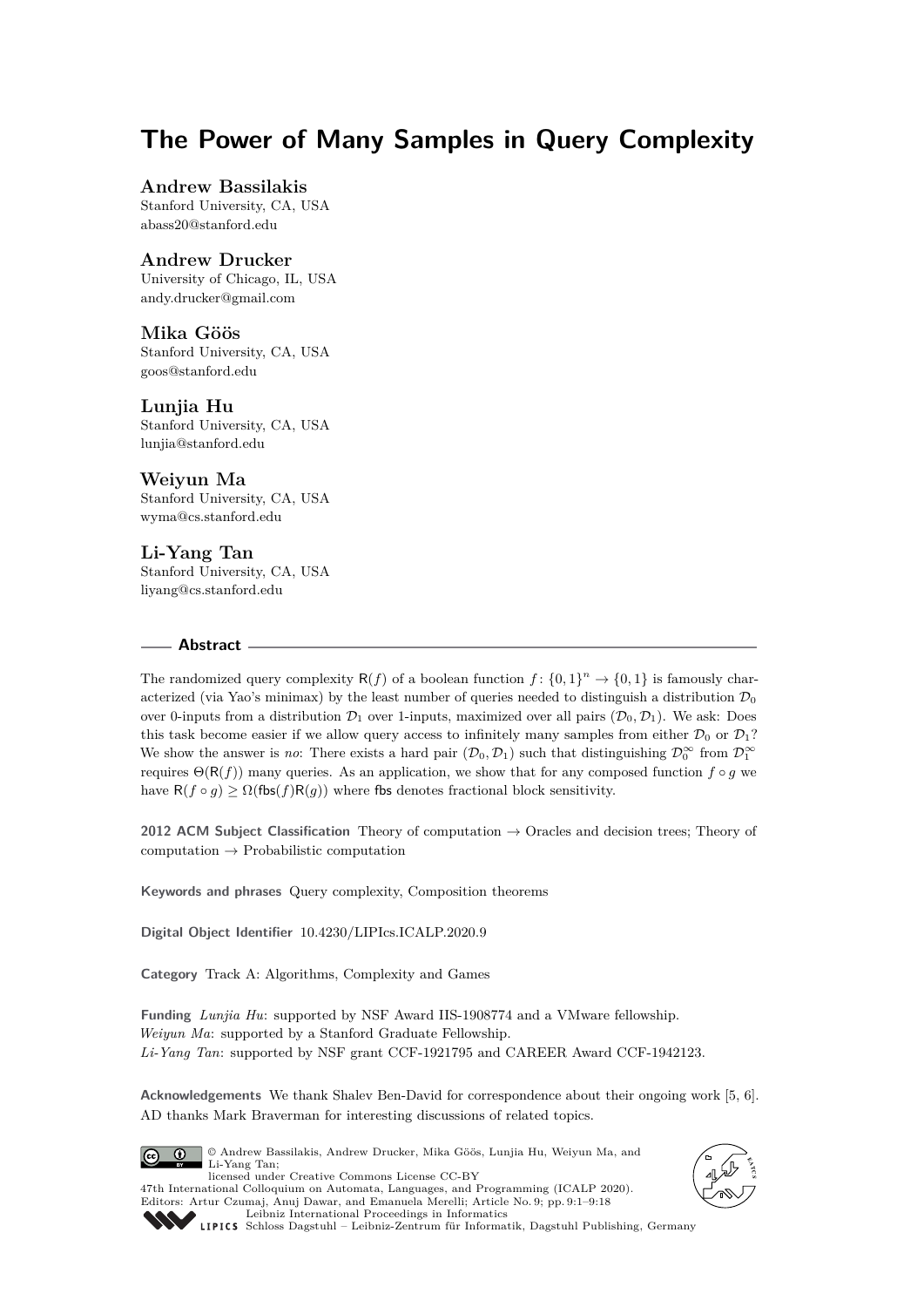# **The Power of Many Samples in Query Complexity**

## **Andrew Bassilakis**

Stanford University, CA, USA [abass20@stanford.edu](mailto:abass20@stanford.edu)

## **Andrew Drucker**

University of Chicago, IL, USA [andy.drucker@gmail.com](mailto:andy.drucker@gmail.com)

#### **Mika Göös**

Stanford University, CA, USA [goos@stanford.edu](mailto:goos@stanford.edu)

#### **Lunjia Hu**

Stanford University, CA, USA [lunjia@stanford.edu](mailto:lunjia@stanford.edu)

#### **Weiyun Ma**

Stanford University, CA, USA [wyma@cs.stanford.edu](mailto:wyma@cs.stanford.edu)

## **Li-Yang Tan**

Stanford University, CA, USA [liyang@cs.stanford.edu](mailto:liyang@cs.stanford.edu)

#### **Abstract**

The randomized query complexity  $R(f)$  of a boolean function  $f: \{0,1\}^n \to \{0,1\}$  is famously characterized (via Yao's minimax) by the least number of queries needed to distinguish a distribution  $\mathcal{D}_0$ over 0-inputs from a distribution  $\mathcal{D}_1$  over 1-inputs, maximized over all pairs  $(\mathcal{D}_0, \mathcal{D}_1)$ . We ask: Does this task become easier if we allow query access to infinitely many samples from either  $\mathcal{D}_0$  or  $\mathcal{D}_1$ ? We show the answer is *no*: There exists a hard pair  $(D_0, D_1)$  such that distinguishing  $\mathcal{D}_0^{\infty}$  from  $\mathcal{D}_1^{\infty}$ requires  $\Theta(R(f))$  many queries. As an application, we show that for any composed function  $f \circ g$  we have  $R(f \circ g) \geq \Omega(f \circ f)R(g)$  where fbs denotes fractional block sensitivity.

**2012 ACM Subject Classification** Theory of computation → Oracles and decision trees; Theory of  $computation \rightarrow Probabilistic computation$ 

**Keywords and phrases** Query complexity, Composition theorems

**Digital Object Identifier** [10.4230/LIPIcs.ICALP.2020.9](https://doi.org/10.4230/LIPIcs.ICALP.2020.9)

**Category** Track A: Algorithms, Complexity and Games

**Funding** *Lunjia Hu*: supported by NSF Award IIS-1908774 and a VMware fellowship. *Weiyun Ma*: supported by a Stanford Graduate Fellowship. *Li-Yang Tan*: supported by NSF grant CCF-1921795 and CAREER Award CCF-1942123.

**Acknowledgements** We thank Shalev Ben-David for correspondence about their ongoing work [\[5,](#page-16-0) [6\]](#page-16-1). AD thanks Mark Braverman for interesting discussions of related topics.



© Andrew Bassilakis, Andrew Drucker, Mika Göös, Lunjia Hu, Weiyun Ma, and Li-Yang Tan; licensed under Creative Commons License CC-BY 47th International Colloquium on Automata, Languages, and Programming (ICALP 2020). Editors: Artur Czumaj, Anuj Dawar, and Emanuela Merelli; Article No. 9; pp. 9:1–9[:18](#page-17-0)





[Leibniz International Proceedings in Informatics](https://www.dagstuhl.de/lipics/) [Schloss Dagstuhl – Leibniz-Zentrum für Informatik, Dagstuhl Publishing, Germany](https://www.dagstuhl.de)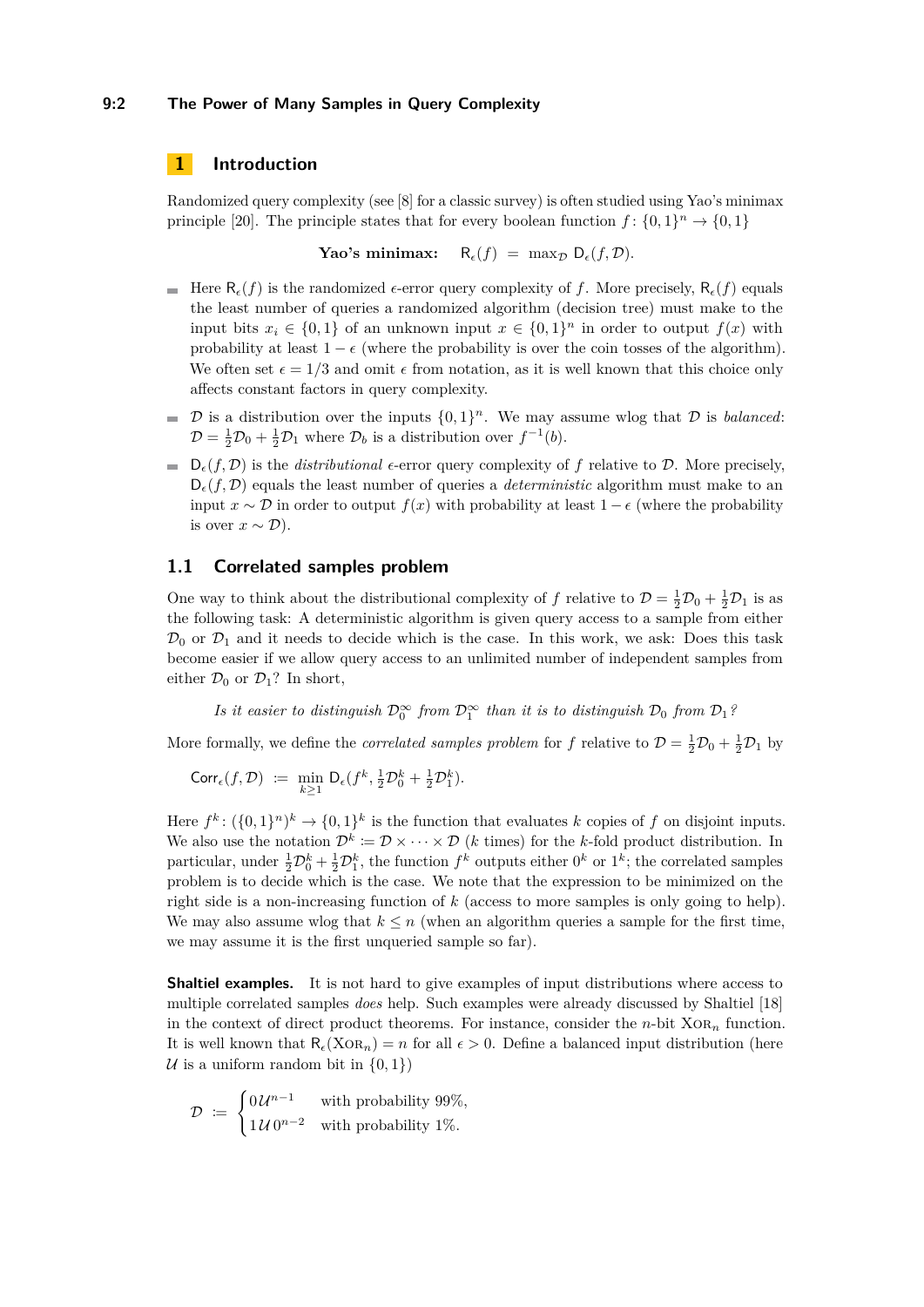#### **9:2 The Power of Many Samples in Query Complexity**

## **1 Introduction**

Randomized query complexity (see [\[8\]](#page-16-2) for a classic survey) is often studied using Yao's minimax principle [\[20\]](#page-17-1). The principle states that for every boolean function  $f: \{0,1\}^n \to \{0,1\}$ 

**Yao's minimax:**  $R_{\epsilon}(f) = \max_{D} D_{\epsilon}(f, D).$ 

- Here  $R_{\epsilon}(f)$  is the randomized  $\epsilon$ -error query complexity of f. More precisely,  $R_{\epsilon}(f)$  equals the least number of queries a randomized algorithm (decision tree) must make to the input bits  $x_i \in \{0,1\}$  of an unknown input  $x \in \{0,1\}^n$  in order to output  $f(x)$  with probability at least  $1 - \epsilon$  (where the probability is over the coin tosses of the algorithm). We often set  $\epsilon = 1/3$  and omit  $\epsilon$  from notation, as it is well known that this choice only affects constant factors in query complexity.
- $\mathcal{D}$  is a distribution over the inputs  $\{0,1\}^n$ . We may assume wlog that  $\mathcal D$  is *balanced*:  $\blacksquare$  $\mathcal{D} = \frac{1}{2}\mathcal{D}_0 + \frac{1}{2}\mathcal{D}_1$  where  $\mathcal{D}_b$  is a distribution over  $f^{-1}(b)$ .
- $\Box$   $D_{\epsilon}(f, \mathcal{D})$  is the *distributional*  $\epsilon$ -error query complexity of f relative to  $\mathcal{D}$ . More precisely,  $D_{\epsilon}(f, \mathcal{D})$  equals the least number of queries a *deterministic* algorithm must make to an input  $x \sim \mathcal{D}$  in order to output  $f(x)$  with probability at least  $1 - \epsilon$  (where the probability is over  $x \sim \mathcal{D}$ ).

## <span id="page-1-0"></span>**1.1 Correlated samples problem**

One way to think about the distributional complexity of f relative to  $\mathcal{D} = \frac{1}{2}\mathcal{D}_0 + \frac{1}{2}\mathcal{D}_1$  is as the following task: A deterministic algorithm is given query access to a sample from either  $\mathcal{D}_0$  or  $\mathcal{D}_1$  and it needs to decide which is the case. In this work, we ask: Does this task become easier if we allow query access to an unlimited number of independent samples from either  $\mathcal{D}_0$  or  $\mathcal{D}_1$ ? In short,

*Is it easier to distinguish*  $\mathcal{D}_0^{\infty}$  *from*  $\mathcal{D}_1^{\infty}$  *than it is to distinguish*  $\mathcal{D}_0$  *from*  $\mathcal{D}_1$ *?* 

More formally, we define the *correlated samples problem* for f relative to  $D = \frac{1}{2}D_0 + \frac{1}{2}D_1$  by

$$
\mathrm{Corr}_{\epsilon}(f,\mathcal{D}) := \min_{k \geq 1} \mathrm{D}_{\epsilon}(f^{k}, \frac{1}{2}\mathcal{D}_{0}^{k} + \frac{1}{2}\mathcal{D}_{1}^{k}).
$$

Here  $f^k: (\{0,1\}^n)^k \to \{0,1\}^k$  is the function that evaluates k copies of f on disjoint inputs. We also use the notation  $\mathcal{D}^k := \mathcal{D} \times \cdots \times \mathcal{D}$  (*k* times) for the *k*-fold product distribution. In particular, under  $\frac{1}{2}\mathcal{D}_0^k + \frac{1}{2}\mathcal{D}_1^k$ , the function  $f^k$  outputs either  $0^k$  or  $1^k$ ; the correlated samples problem is to decide which is the case. We note that the expression to be minimized on the right side is a non-increasing function of *k* (access to more samples is only going to help). We may also assume wlog that  $k \leq n$  (when an algorithm queries a sample for the first time, we may assume it is the first unqueried sample so far).

**Shaltiel examples.** It is not hard to give examples of input distributions where access to multiple correlated samples *does* help. Such examples were already discussed by Shaltiel [\[18\]](#page-16-3) in the context of direct product theorems. For instance, consider the  $n$ -bit  $XOR_n$  function. It is well known that  $R_{\epsilon}(X \text{OR}_n) = n$  for all  $\epsilon > 0$ . Define a balanced input distribution (here U is a uniform random bit in  $\{0, 1\}$ 

$$
\mathcal{D} := \begin{cases} 0 \, \mathcal{U}^{n-1} & \text{with probability } 99\%, \\ 1 \, \mathcal{U} \, 0^{n-2} & \text{with probability } 1\% \end{cases}
$$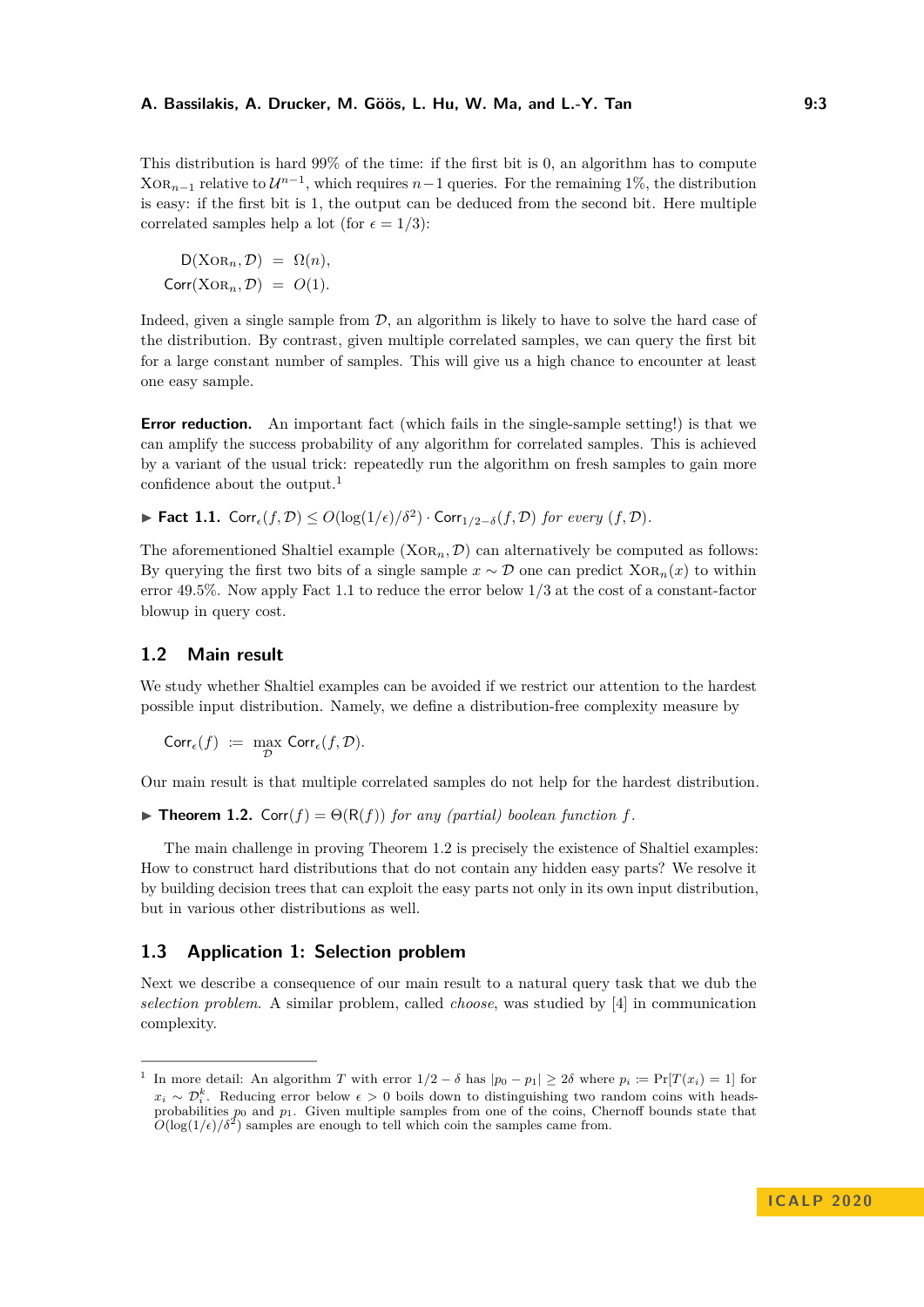This distribution is hard 99% of the time: if the first bit is 0, an algorithm has to compute  $XOR_{n-1}$  relative to  $\mathcal{U}^{n-1}$ , which requires  $n-1$  queries. For the remaining 1%, the distribution is easy: if the first bit is 1, the output can be deduced from the second bit. Here multiple correlated samples help a lot (for  $\epsilon = 1/3$ ):

 $D(XOR_n, \mathcal{D}) = \Omega(n),$  $Corr(XOR_n, \mathcal{D}) = O(1)$ .

Indeed, given a single sample from  $D$ , an algorithm is likely to have to solve the hard case of the distribution. By contrast, given multiple correlated samples, we can query the first bit for a large constant number of samples. This will give us a high chance to encounter at least one easy sample.

**Error reduction.** An important fact (which fails in the single-sample setting!) is that we can amplify the success probability of any algorithm for correlated samples. This is achieved by a variant of the usual trick: repeatedly run the algorithm on fresh samples to gain more confidence about the output.<sup>[1](#page-2-0)</sup>

<span id="page-2-1"></span>► Fact 1.1.  $\text{Corr}_{\epsilon}(f, \mathcal{D}) \leq O(\log(1/\epsilon)/\delta^2) \cdot \text{Corr}_{1/2-\delta}(f, \mathcal{D})$  *for every*  $(f, \mathcal{D})$ *.* 

The aforementioned Shaltiel example  $(XOR_n, \mathcal{D})$  can alternatively be computed as follows: By querying the first two bits of a single sample  $x \sim \mathcal{D}$  one can predict  $XOR_n(x)$  to within error 49*.*5%. Now apply [Fact 1.1](#page-2-1) to reduce the error below 1*/*3 at the cost of a constant-factor blowup in query cost.

## **1.2 Main result**

We study whether Shaltiel examples can be avoided if we restrict our attention to the hardest possible input distribution. Namely, we define a distribution-free complexity measure by

$$
\mathrm{Corr}_{\epsilon}(f) \ := \ \max_{\mathcal{D}} \ \mathrm{Corr}_{\epsilon}(f, \mathcal{D}).
$$

Our main result is that multiple correlated samples do not help for the hardest distribution.

<span id="page-2-2"></span> $\triangleright$  **Theorem 1.2.** Corr(*f*) =  $\Theta(R(f))$  *for any (partial) boolean function f.* 

The main challenge in proving [Theorem 1.2](#page-2-2) is precisely the existence of Shaltiel examples: How to construct hard distributions that do not contain any hidden easy parts? We resolve it by building decision trees that can exploit the easy parts not only in its own input distribution, but in various other distributions as well.

# **1.3 Application 1: Selection problem**

Next we describe a consequence of our main result to a natural query task that we dub the *selection problem*. A similar problem, called *choose*, was studied by [\[4\]](#page-16-4) in communication complexity.

<span id="page-2-0"></span><sup>&</sup>lt;sup>1</sup> In more detail: An algorithm *T* with error  $1/2 - \delta$  has  $|p_0 - p_1| \geq 2\delta$  where  $p_i := \Pr[T(x_i) = 1]$  for  $x_i$  ∼  $\mathcal{D}_i^k$ . Reducing error below  $\epsilon > 0$  boils down to distinguishing two random coins with headsprobabilities  $p_0$  and  $p_1$ . Given multiple samples from one of the coins, Chernoff bounds state that  $O(\log(1/\epsilon)/\delta^2)$  samples are enough to tell which coin the samples came from.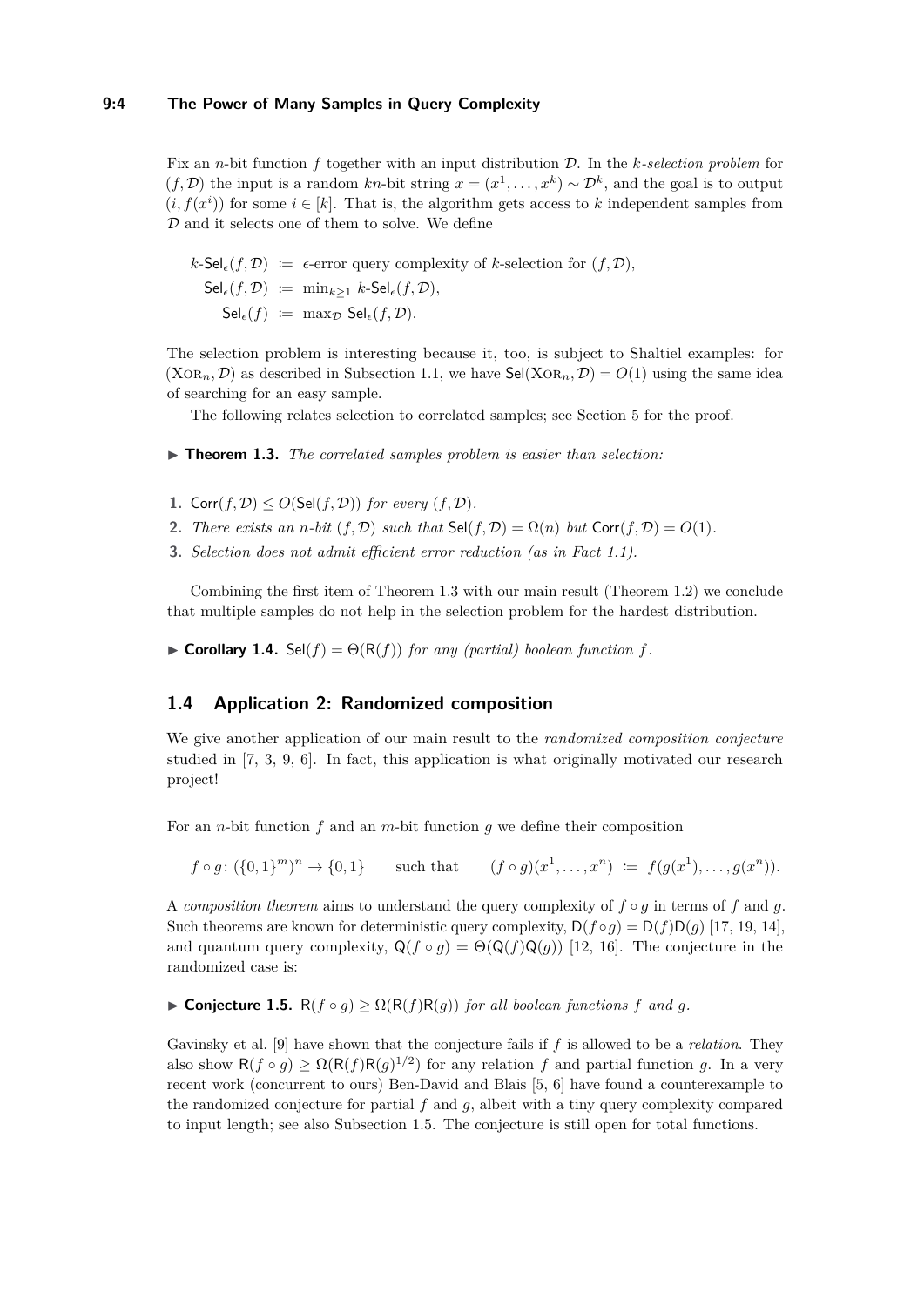Fix an *n*-bit function *f* together with an input distribution D. In the *k-selection problem* for  $(f, \mathcal{D})$  the input is a random *kn*-bit string  $x = (x^1, \ldots, x^k) \sim \mathcal{D}^k$ , and the goal is to output  $(i, f(x^i))$  for some  $i \in [k]$ . That is, the algorithm gets access to k independent samples from  ${\mathcal D}$  and it selects one of them to solve. We define

$$
k\text{-Sel}_{\epsilon}(f, \mathcal{D}) \coloneqq \epsilon\text{-error query complexity of } k\text{-selection for } (f, \mathcal{D}),
$$
  
\n
$$
\text{Sel}_{\epsilon}(f, \mathcal{D}) \coloneqq \min_{k \geq 1} k\text{-Sel}_{\epsilon}(f, \mathcal{D}),
$$
  
\n
$$
\text{Sel}_{\epsilon}(f) \coloneqq \max_{\mathcal{D}} \text{Sel}_{\epsilon}(f, \mathcal{D}).
$$

The selection problem is interesting because it, too, is subject to Shaltiel examples: for  $(XOR_n, \mathcal{D})$  as described in [Subsection 1.1,](#page-1-0) we have  $\mathsf{Sel}(XOR_n, \mathcal{D}) = O(1)$  using the same idea of searching for an easy sample.

The following relates selection to correlated samples; see [Section 5](#page-13-0) for the proof.

<span id="page-3-0"></span>▶ **Theorem 1.3.** *The correlated samples problem is easier than selection:* 

- 1. Corr $(f, \mathcal{D}) \leq O(\mathsf{Sel}(f, \mathcal{D}))$  *for every*  $(f, \mathcal{D})$ *.*
- **2.** *There exists an n-bit*  $(f, \mathcal{D})$  *such that*  $\text{Sel}(f, \mathcal{D}) = \Omega(n)$  *but*  $\text{Corr}(f, \mathcal{D}) = O(1)$ *.*
- **3.** *Selection does not admit efficient error reduction (as in [Fact 1.1\)](#page-2-1).*

Combining the first item of [Theorem 1.3](#page-3-0) with our main result [\(Theorem 1.2\)](#page-2-2) we conclude that multiple samples do not help in the selection problem for the hardest distribution.

 $\triangleright$  **Corollary 1.4.** Sel(*f*) =  $\Theta(R(f))$  *for any (partial) boolean function f.* 

#### **1.4 Application 2: Randomized composition**

We give another application of our main result to the *randomized composition conjecture* studied in [\[7,](#page-16-5) [3,](#page-16-6) [9,](#page-16-7) [6\]](#page-16-1). In fact, this application is what originally motivated our research project!

For an *n*-bit function *f* and an *m*-bit function *g* we define their composition

 $f \circ g: (\{0,1\}^m)^n \to \{0,1\}$  such that  $(f \circ g)(x^1,\ldots,x^n) := f(g(x^1),\ldots,g(x^n)).$ 

A *composition theorem* aims to understand the query complexity of *f* ◦ *g* in terms of *f* and *g*. Such theorems are known for deterministic query complexity,  $D(f \circ q) = D(f)D(q)$  [\[17,](#page-16-8) [19,](#page-17-2) [14\]](#page-16-9), and quantum query complexity,  $Q(f \circ g) = \Theta(Q(f)Q(g))$  [\[12,](#page-16-10) [16\]](#page-16-11). The conjecture in the randomized case is:

 $\triangleright$  **Conjecture 1.5.** R(*f* ◦ *g*) ≥  $\Omega$ (R(*f*)R(*g*)) *for all boolean functions f and a.* 

Gavinsky et al. [\[9\]](#page-16-7) have shown that the conjecture fails if *f* is allowed to be a *relation*. They also show  $R(f \circ g) \ge \Omega(R(f)R(g)^{1/2})$  for any relation *f* and partial function *g*. In a very recent work (concurrent to ours) Ben-David and Blais [\[5,](#page-16-0) [6\]](#page-16-1) have found a counterexample to the randomized conjecture for partial  $f$  and  $g$ , albeit with a tiny query complexity compared to input length; see also [Subsection 1.5.](#page-4-0) The conjecture is still open for total functions.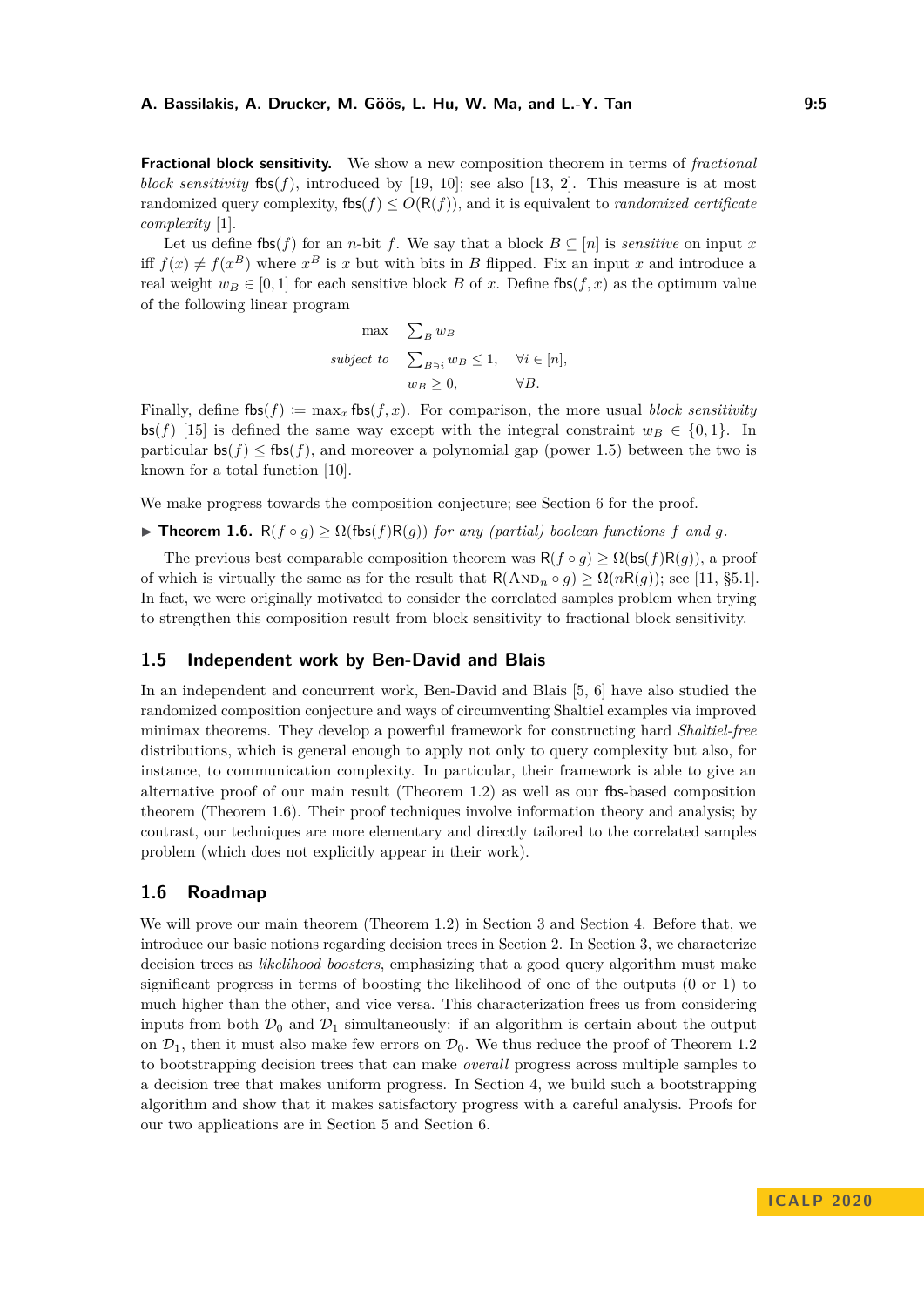**Fractional block sensitivity.** We show a new composition theorem in terms of *fractional block sensitivity*  $f(x) = f(x)$ , introduced by [\[19,](#page-17-2) [10\]](#page-16-12); see also [\[13,](#page-16-13) [2\]](#page-16-14). This measure is at most randomized query complexity,  $f(s) \leq O(R(f))$ , and it is equivalent to *randomized certificate complexity* [\[1\]](#page-16-15).

Let us define fbs( $f$ ) for an *n*-bit  $f$ . We say that a block  $B \subseteq [n]$  is *sensitive* on input  $x$ iff  $f(x) \neq f(x^B)$  where  $x^B$  is x but with bits in B flipped. Fix an input x and introduce a real weight  $w_B \in [0, 1]$  for each sensitive block *B* of *x*. Define fbs(*f, x*) as the optimum value of the following linear program

$$
\max \sum_{B} w_B
$$
  
subject to 
$$
\sum_{B \ni i} w_B \le 1, \quad \forall i \in [n],
$$

$$
w_B \ge 0, \qquad \forall B.
$$

Finally, define  $f{bs}(f) := \max_x f{bs}(f, x)$ . For comparison, the more usual *block sensitivity*  $\mathsf{bs}(f)$  [\[15\]](#page-16-16) is defined the same way except with the integral constraint  $w_B \in \{0,1\}$ . In particular  $\mathsf{bs}(f) \leq \mathsf{fbs}(f)$ , and moreover a polynomial gap (power 1.5) between the two is known for a total function [\[10\]](#page-16-12).

We make progress towards the composition conjecture; see [Section 6](#page-14-0) for the proof.

<span id="page-4-1"></span> $\blacktriangleright$  **Theorem 1.6.** R(*f* ◦ *g*) ≥  $\Omega$ (fbs(*f*)R(*g*)) *for any (partial) boolean functions f and g.* 

The previous best comparable composition theorem was  $R(f \circ g) \geq \Omega(\mathsf{bs}(f)R(g))$ , a proof of which is virtually the same as for the result that  $R(\text{AND}_n \circ q) > \Omega(nR(q))$ ; see [\[11,](#page-16-17) §5.1]. In fact, we were originally motivated to consider the correlated samples problem when trying to strengthen this composition result from block sensitivity to fractional block sensitivity.

#### <span id="page-4-0"></span>**1.5 Independent work by Ben-David and Blais**

In an independent and concurrent work, Ben-David and Blais [\[5,](#page-16-0) [6\]](#page-16-1) have also studied the randomized composition conjecture and ways of circumventing Shaltiel examples via improved minimax theorems. They develop a powerful framework for constructing hard *Shaltiel-free* distributions, which is general enough to apply not only to query complexity but also, for instance, to communication complexity. In particular, their framework is able to give an alternative proof of our main result [\(Theorem 1.2\)](#page-2-2) as well as our fbs-based composition theorem [\(Theorem 1.6\)](#page-4-1). Their proof techniques involve information theory and analysis; by contrast, our techniques are more elementary and directly tailored to the correlated samples problem (which does not explicitly appear in their work).

#### **1.6 Roadmap**

We will prove our main theorem [\(Theorem 1.2\)](#page-2-2) in [Section 3](#page-5-0) and [Section 4.](#page-7-0) Before that, we introduce our basic notions regarding decision trees in [Section 2.](#page-5-1) In [Section 3,](#page-5-0) we characterize decision trees as *likelihood boosters*, emphasizing that a good query algorithm must make significant progress in terms of boosting the likelihood of one of the outputs (0 or 1) to much higher than the other, and vice versa. This characterization frees us from considering inputs from both  $\mathcal{D}_0$  and  $\mathcal{D}_1$  simultaneously: if an algorithm is certain about the output on  $\mathcal{D}_1$ , then it must also make few errors on  $\mathcal{D}_0$ . We thus reduce the proof of [Theorem 1.2](#page-2-2) to bootstrapping decision trees that can make *overall* progress across multiple samples to a decision tree that makes uniform progress. In [Section 4,](#page-7-0) we build such a bootstrapping algorithm and show that it makes satisfactory progress with a careful analysis. Proofs for our two applications are in [Section 5](#page-13-0) and [Section 6.](#page-14-0)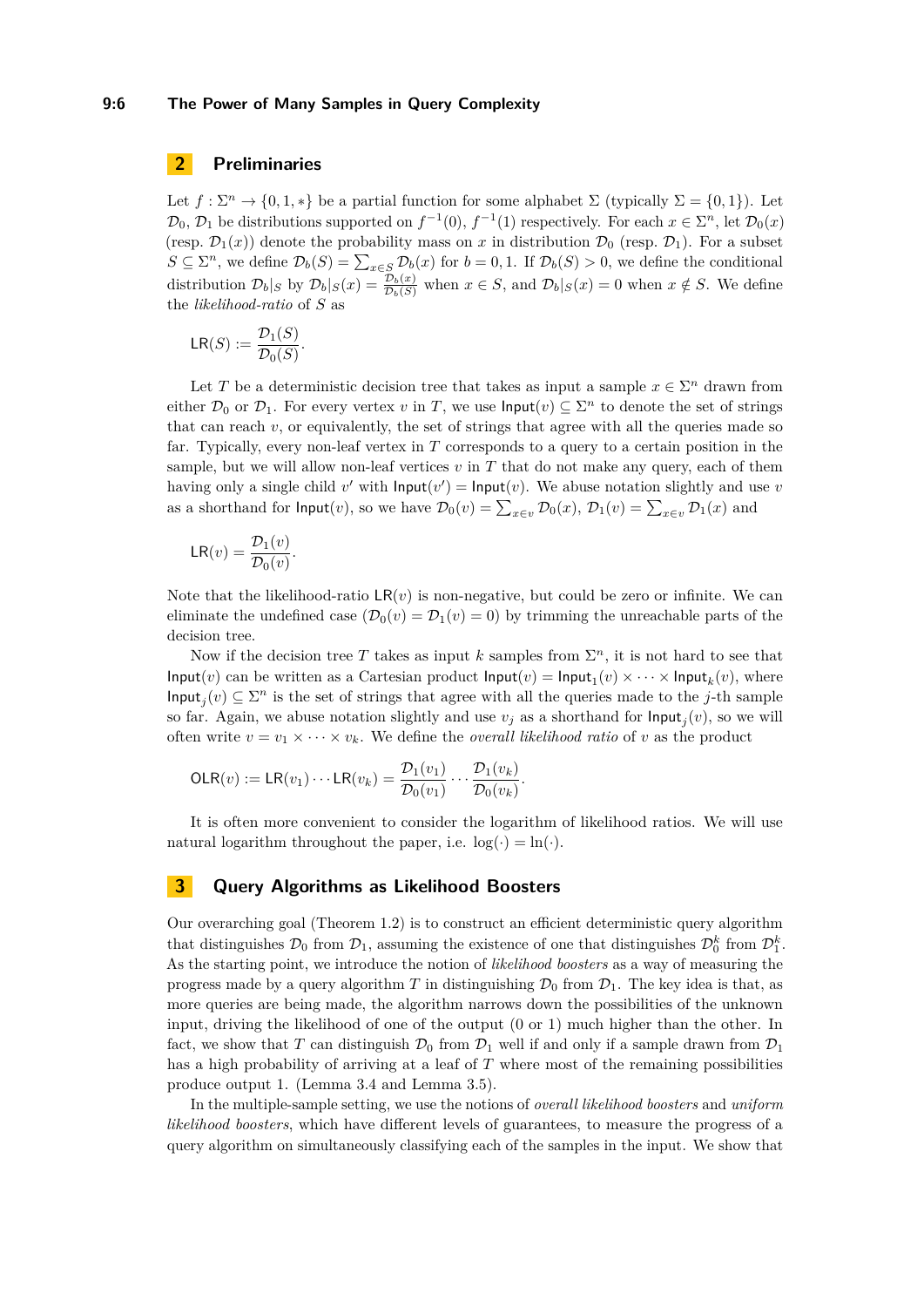#### **9:6 The Power of Many Samples in Query Complexity**

# <span id="page-5-1"></span>**2 Preliminaries**

Let  $f: \Sigma^n \to \{0, 1, *\}$  be a partial function for some alphabet  $\Sigma$  (typically  $\Sigma = \{0, 1\}$ ). Let  $\mathcal{D}_0, \mathcal{D}_1$  be distributions supported on  $f^{-1}(0), f^{-1}(1)$  respectively. For each  $x \in \Sigma^n$ , let  $\mathcal{D}_0(x)$ (resp.  $\mathcal{D}_1(x)$ ) denote the probability mass on x in distribution  $\mathcal{D}_0$  (resp.  $\mathcal{D}_1$ ). For a subset *S* ⊆  $\Sigma^n$ , we define  $\mathcal{D}_b(S) = \sum_{x \in S} \mathcal{D}_b(x)$  for *b* = 0, 1. If  $\mathcal{D}_b(S) > 0$ , we define the conditional distribution  $\mathcal{D}_b|_S$  by  $\mathcal{D}_b|_S(x) = \frac{\mathcal{D}_b(x)}{\mathcal{D}_b(S)}$  when  $x \in S$ , and  $\mathcal{D}_b|_S(x) = 0$  when  $x \notin S$ . We define the *likelihood-ratio* of *S* as

$$
\mathsf{LR}(S) := \frac{\mathcal{D}_1(S)}{\mathcal{D}_0(S)}.
$$

Let *T* be a deterministic decision tree that takes as input a sample  $x \in \Sigma^n$  drawn from either  $\mathcal{D}_0$  or  $\mathcal{D}_1$ . For every vertex *v* in *T*, we use  $\mathsf{Input}(v) \subseteq \Sigma^n$  to denote the set of strings that can reach *v*, or equivalently, the set of strings that agree with all the queries made so far. Typically, every non-leaf vertex in *T* corresponds to a query to a certain position in the sample, but we will allow non-leaf vertices  $v$  in  $T$  that do not make any query, each of them having only a single child  $v'$  with  $\textsf{Input}(v') = \textsf{Input}(v)$ . We abuse notation slightly and use *v* as a shorthand for  $\textsf{Input}(v)$ , so we have  $\mathcal{D}_0(v) = \sum_{x \in v} \mathcal{D}_0(x)$ ,  $\mathcal{D}_1(v) = \sum_{x \in v} \mathcal{D}_1(x)$  and

$$
\mathsf{LR}(v) = \frac{\mathcal{D}_1(v)}{\mathcal{D}_0(v)}.
$$

Note that the likelihood-ratio  $LR(v)$  is non-negative, but could be zero or infinite. We can eliminate the undefined case  $(\mathcal{D}_0(v) = \mathcal{D}_1(v) = 0)$  by trimming the unreachable parts of the decision tree.

Now if the decision tree T takes as input  $k$  samples from  $\Sigma<sup>n</sup>$ , it is not hard to see that Input(*v*) can be written as a Cartesian product  $\textsf{Input}(v) = \textsf{Input}_1(v) \times \cdots \times \textsf{Input}_k(v)$ , where  $\textsf{Input}_j(v) \subseteq \Sigma^n$  is the set of strings that agree with all the queries made to the *j*-th sample so far. Again, we abuse notation slightly and use  $v_j$  as a shorthand for  $\textsf{Input}_j(v)$ , so we will often write  $v = v_1 \times \cdots \times v_k$ . We define the *overall likelihood ratio* of *v* as the product

$$
\mathsf{OLR}(v) := \mathsf{LR}(v_1) \cdots \mathsf{LR}(v_k) = \frac{\mathcal{D}_1(v_1)}{\mathcal{D}_0(v_1)} \cdots \frac{\mathcal{D}_1(v_k)}{\mathcal{D}_0(v_k)}.
$$

It is often more convenient to consider the logarithm of likelihood ratios. We will use natural logarithm throughout the paper, i.e.  $log(·) = ln(·)$ .

## <span id="page-5-0"></span>**3 Query Algorithms as Likelihood Boosters**

Our overarching goal [\(Theorem 1.2\)](#page-2-2) is to construct an efficient deterministic query algorithm that distinguishes  $\mathcal{D}_0$  from  $\mathcal{D}_1$ , assuming the existence of one that distinguishes  $\mathcal{D}_0^k$  from  $\mathcal{D}_1^k$ . As the starting point, we introduce the notion of *likelihood boosters* as a way of measuring the progress made by a query algorithm *T* in distinguishing  $\mathcal{D}_0$  from  $\mathcal{D}_1$ . The key idea is that, as more queries are being made, the algorithm narrows down the possibilities of the unknown input, driving the likelihood of one of the output (0 or 1) much higher than the other. In fact, we show that *T* can distinguish  $\mathcal{D}_0$  from  $\mathcal{D}_1$  well if and only if a sample drawn from  $\mathcal{D}_1$ has a high probability of arriving at a leaf of *T* where most of the remaining possibilities produce output 1. [\(Lemma 3.4](#page-6-0) and [Lemma 3.5\)](#page-6-1).

In the multiple-sample setting, we use the notions of *overall likelihood boosters* and *uniform likelihood boosters*, which have different levels of guarantees, to measure the progress of a query algorithm on simultaneously classifying each of the samples in the input. We show that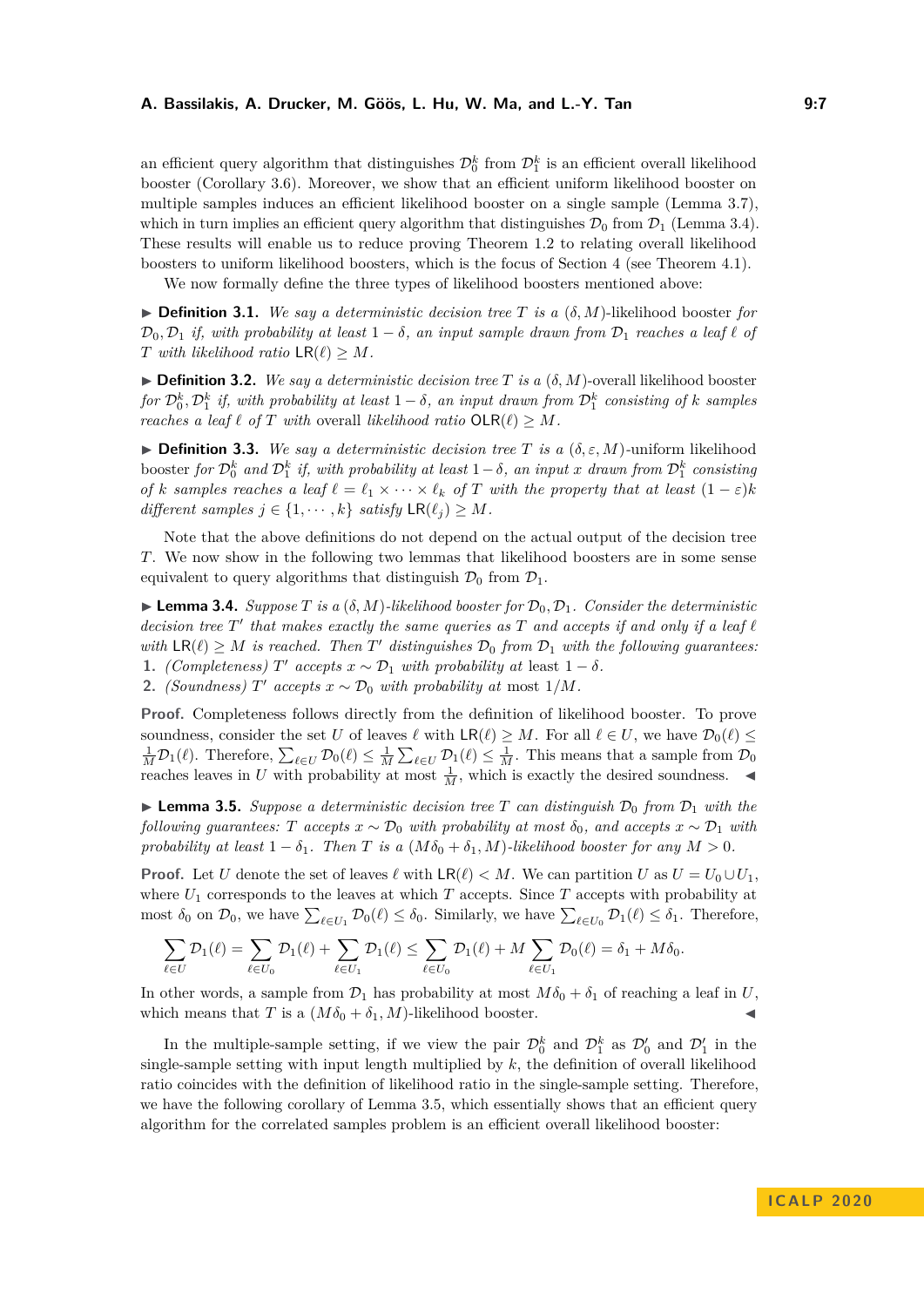an efficient query algorithm that distinguishes  $\mathcal{D}_0^k$  from  $\mathcal{D}_1^k$  is an efficient overall likelihood booster [\(Corollary 3.6\)](#page-7-1). Moreover, we show that an efficient uniform likelihood booster on multiple samples induces an efficient likelihood booster on a single sample [\(Lemma 3.7\)](#page-7-2), which in turn implies an efficient query algorithm that distinguishes  $\mathcal{D}_0$  from  $\mathcal{D}_1$  [\(Lemma 3.4\)](#page-6-0). These results will enable us to reduce proving [Theorem 1.2](#page-2-2) to relating overall likelihood boosters to uniform likelihood boosters, which is the focus of [Section 4](#page-7-0) (see [Theorem 4.1\)](#page-7-3).

We now formally define the three types of likelihood boosters mentioned above:

 $\blacktriangleright$  **Definition 3.1.** We say a deterministic decision tree T is a  $(\delta, M)$ -likelihood booster for  $\mathcal{D}_0, \mathcal{D}_1$  *if, with probability at least*  $1 - \delta$ *, an input sample drawn from*  $\mathcal{D}_1$  *reaches a leaf*  $\ell$  *of T* with likelihood ratio  $LR(\ell) \geq M$ .

 $\blacktriangleright$  **Definition 3.2.** *We say a deterministic decision tree T is a* ( $\delta$ , *M*)-overall likelihood booster  $f$ *or*  $\mathcal{D}_0^k$ *,*  $\mathcal{D}_1^k$  *if, with probability at least*  $1 - \delta$ *, an input drawn from*  $\mathcal{D}_1^k$  *consisting of k samples reaches a leaf*  $\ell$  *of*  $T$  *with* overall *likelihood ratio*  $OLR(\ell) \geq M$ *.* 

<span id="page-6-2"></span> $\blacktriangleright$  **Definition 3.3.** *We say a deterministic decision tree T is a* ( $\delta$ ,  $\varepsilon$ , *M*)*-uniform likelihood*  $\frac{1}{2}$  *booster for*  $\mathcal{D}_0^k$  *and*  $\mathcal{D}_1^k$  *if, with probability at least*  $1-\delta$ *, an input x drawn from*  $\mathcal{D}_1^k$  *consisting of k samples reaches a leaf*  $\ell = \ell_1 \times \cdots \times \ell_k$  *of T with the property that at least*  $(1 - \varepsilon)k$ *different samples*  $j \in \{1, \dots, k\}$  *satisfy*  $\textsf{LR}(\ell_j) \geq M$ *.* 

Note that the above definitions do not depend on the actual output of the decision tree *T*. We now show in the following two lemmas that likelihood boosters are in some sense equivalent to query algorithms that distinguish  $\mathcal{D}_0$  from  $\mathcal{D}_1$ .

<span id="page-6-0"></span> $\blacktriangleright$  **Lemma 3.4.** *Suppose T is a* ( $\delta$ , *M*)*-likelihood booster for*  $\mathcal{D}_0$ ,  $\mathcal{D}_1$ *. Consider the deterministic decision tree*  $T'$  that makes exactly the same queries as  $T$  and accepts if and only if a leaf  $\ell$ *with*  $LR(\ell) \geq M$  *is reached. Then T' distinguishes*  $\mathcal{D}_0$  *from*  $\mathcal{D}_1$  *with the following guarantees:* **1.** *(Completeness)*  $T'$  *accepts*  $x \sim \mathcal{D}_1$  *with probability at* least  $1 - \delta$ *.* 

**2.** *(Soundness)*  $T'$  *accepts*  $x \sim \mathcal{D}_0$  *with probability at* most  $1/M$ *.* 

**Proof.** Completeness follows directly from the definition of likelihood booster. To prove soundness, consider the set *U* of leaves  $\ell$  with  $LR(\ell) \geq M$ . For all  $\ell \in U$ , we have  $\mathcal{D}_0(\ell) \leq$  $\frac{1}{M}\mathcal{D}_1(\ell)$ . Therefore,  $\sum_{\ell \in U} \mathcal{D}_0(\ell) \leq \frac{1}{M} \sum_{\ell \in U} \mathcal{D}_1(\ell) \leq \frac{1}{M}$ . This means that a sample from  $\mathcal{D}_0$ reaches leaves in *U* with probability at most  $\frac{1}{M}$ , which is exactly the desired soundness.

<span id="page-6-1"></span> $\blacktriangleright$  **Lemma 3.5.** *Suppose a deterministic decision tree T can distinguish*  $\mathcal{D}_0$  *from*  $\mathcal{D}_1$  *with the following quarantees: T accepts*  $x \sim \mathcal{D}_0$  *with probability at most*  $\delta_0$ *, and accepts*  $x \sim \mathcal{D}_1$  *with probability at least*  $1 - \delta_1$ *. Then T is a* ( $M\delta_0 + \delta_1$ *, M*)*-likelihood booster for any*  $M > 0$ *.* 

**Proof.** Let *U* denote the set of leaves  $\ell$  with  $LR(\ell) < M$ . We can partition *U* as  $U = U_0 \cup U_1$ , where  $U_1$  corresponds to the leaves at which  $T$  accepts. Since  $T$  accepts with probability at most  $\delta_0$  on  $\mathcal{D}_0$ , we have  $\sum_{\ell \in U_1} \mathcal{D}_0(\ell) \leq \delta_0$ . Similarly, we have  $\sum_{\ell \in U_0} \mathcal{D}_1(\ell) \leq \delta_1$ . Therefore,

$$
\sum_{\ell \in U} \mathcal{D}_1(\ell) = \sum_{\ell \in U_0} \mathcal{D}_1(\ell) + \sum_{\ell \in U_1} \mathcal{D}_1(\ell) \le \sum_{\ell \in U_0} \mathcal{D}_1(\ell) + M \sum_{\ell \in U_1} \mathcal{D}_0(\ell) = \delta_1 + M \delta_0.
$$

In other words, a sample from  $\mathcal{D}_1$  has probability at most  $M\delta_0 + \delta_1$  of reaching a leaf in *U*, which means that *T* is a  $(M\delta_0 + \delta_1, M)$ -likelihood booster.

In the multiple-sample setting, if we view the pair  $\mathcal{D}_0^k$  and  $\mathcal{D}_1^k$  as  $\mathcal{D}_0'$  and  $\mathcal{D}_1'$  in the single-sample setting with input length multiplied by *k*, the definition of overall likelihood ratio coincides with the definition of likelihood ratio in the single-sample setting. Therefore, we have the following corollary of [Lemma 3.5,](#page-6-1) which essentially shows that an efficient query algorithm for the correlated samples problem is an efficient overall likelihood booster: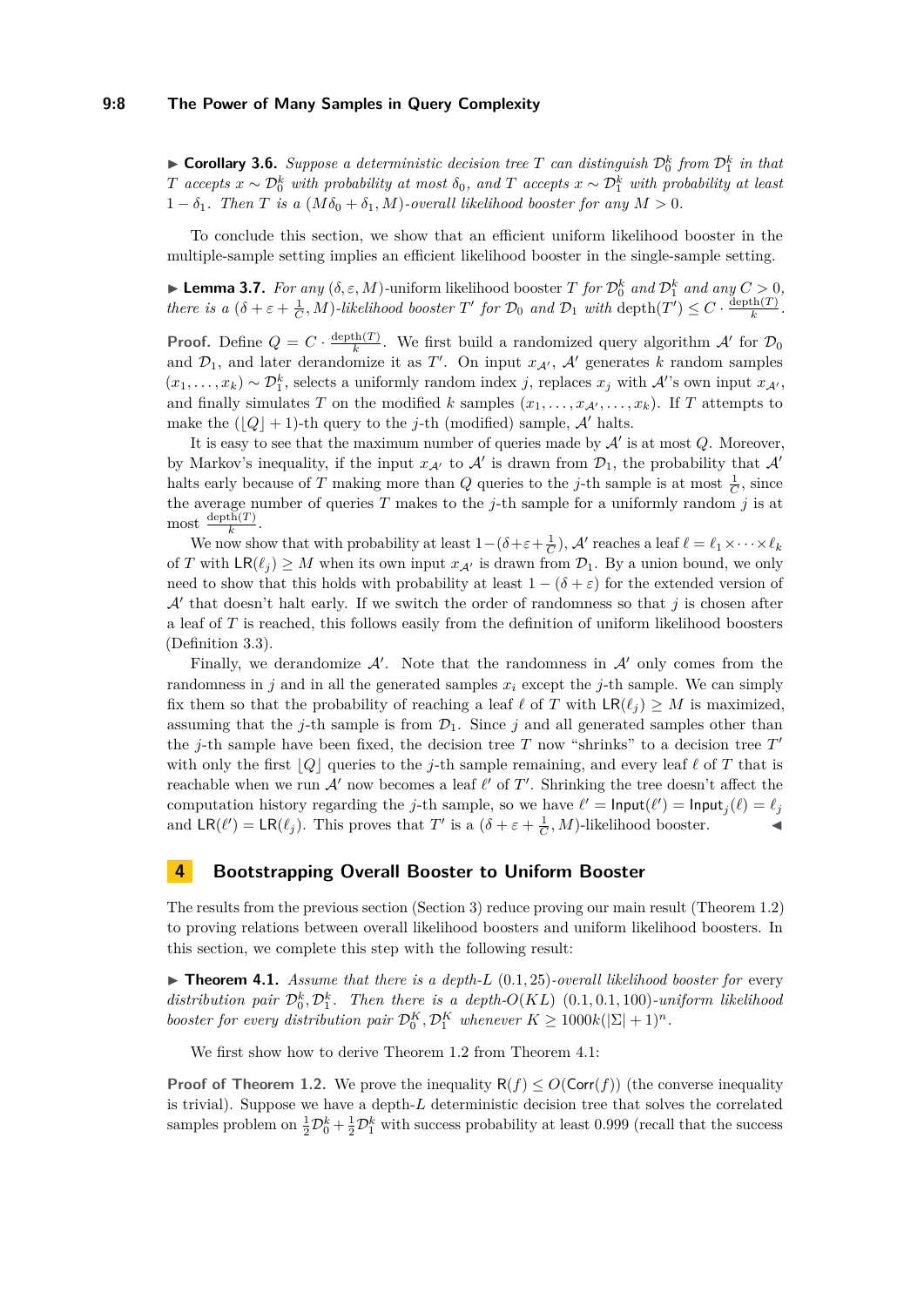#### **9:8 The Power of Many Samples in Query Complexity**

<span id="page-7-1"></span> $\triangleright$  **Corollary 3.6.** *Suppose a deterministic decision tree T can distinguish*  $\mathcal{D}_0^k$  *from*  $\mathcal{D}_1^k$  *in that T accepts*  $x \sim \mathcal{D}_0^k$  *with probability at most*  $\delta_0$ , and *T accepts*  $x \sim \mathcal{D}_1^k$  *with probability at least*  $1 - \delta_1$ . Then *T* is a  $(M\delta_0 + \delta_1, M)$ -overall likelihood booster for any  $M > 0$ .

To conclude this section, we show that an efficient uniform likelihood booster in the multiple-sample setting implies an efficient likelihood booster in the single-sample setting.

<span id="page-7-2"></span>**Lemma 3.7.** *For any*  $(\delta, \varepsilon, M)$ -uniform likelihood booster *T for*  $\mathcal{D}_0^k$  *and*  $\mathcal{D}_1^k$  *and any*  $C > 0$ , *there is a*  $(\delta + \varepsilon + \frac{1}{C}, M)$ *-likelihood booster T' for*  $\mathcal{D}_0$  *and*  $\mathcal{D}_1$  *with* depth $(T') \leq C \cdot \frac{\text{depth}(T)}{k}$  $\frac{\text{cn}(I)}{k}$ .

**Proof.** Define  $Q = C \cdot \frac{\text{depth}(T)}{k}$  $\frac{h(h(T))}{k}$ . We first build a randomized query algorithm  $\mathcal{A}'$  for  $\mathcal{D}_0$ and  $\mathcal{D}_1$ , and later derandomize it as *T'*. On input  $x_{\mathcal{A}}$ ,  $\mathcal{A}'$  generates *k* random samples  $(x_1, \ldots, x_k) \sim \mathcal{D}_1^k$ , selects a uniformly random index *j*, replaces  $x_j$  with A''s own input  $x_{\mathcal{A}}$ , and finally simulates *T* on the modified *k* samples  $(x_1, \ldots, x_{\mathcal{A}'}, \ldots, x_k)$ . If *T* attempts to make the  $(|Q| + 1)$ -th query to the *j*-th (modified) sample, A' halts.

It is easy to see that the maximum number of queries made by  $A'$  is at most  $Q$ . Moreover, by Markov's inequality, if the input  $x_{\mathcal{A}'}$  to  $\mathcal{A}'$  is drawn from  $\mathcal{D}_1$ , the probability that  $\mathcal{A}'$ halts early because of *T* making more than *Q* queries to the *j*-th sample is at most  $\frac{1}{C}$ , since the average number of queries  $T$  makes to the  $j$ -th sample for a uniformly random  $j$  is at most  $\frac{\text{depth}(T)}{k}$ .

We now show that with probability at least  $1-(\delta+\varepsilon+\frac{1}{C})$ , A' reaches a leaf  $\ell = \ell_1 \times \cdots \times \ell_k$ of *T* with  $LR(\ell_j) \geq M$  when its own input  $x_{\mathcal{A}'}$  is drawn from  $\mathcal{D}_1$ . By a union bound, we only need to show that this holds with probability at least  $1 - (\delta + \varepsilon)$  for the extended version of  $\mathcal{A}'$  that doesn't halt early. If we switch the order of randomness so that  $j$  is chosen after a leaf of *T* is reached, this follows easily from the definition of uniform likelihood boosters [\(Definition 3.3\)](#page-6-2).

Finally, we derandomize  $\mathcal{A}'$ . Note that the randomness in  $\mathcal{A}'$  only comes from the randomness in *j* and in all the generated samples  $x_i$  except the *j*-th sample. We can simply fix them so that the probability of reaching a leaf  $\ell$  of *T* with  $LR(\ell_i) \geq M$  is maximized, assuming that the *j*-th sample is from  $\mathcal{D}_1$ . Since *j* and all generated samples other than the *j*-th sample have been fixed, the decision tree  $T$  now "shrinks" to a decision tree  $T'$ with only the first  $|Q|$  queries to the *j*-th sample remaining, and every leaf  $\ell$  of *T* that is reachable when we run  $\mathcal{A}'$  now becomes a leaf  $\ell'$  of  $T'$ . Shrinking the tree doesn't affect the computation history regarding the *j*-th sample, so we have  $\ell' = \text{Input}(\ell') = \text{Input}_j(\ell) = \ell_j$ and  $LR(\ell') = LR(\ell_j)$ . This proves that *T'* is a  $(\delta + \varepsilon + \frac{1}{C}, M)$ -likelihood booster.

## <span id="page-7-0"></span>**4 Bootstrapping Overall Booster to Uniform Booster**

The results from the previous section [\(Section 3\)](#page-5-0) reduce proving our main result [\(Theorem 1.2\)](#page-2-2) to proving relations between overall likelihood boosters and uniform likelihood boosters. In this section, we complete this step with the following result:

<span id="page-7-3"></span> $\triangleright$  **Theorem 4.1.** *Assume that there is a depth-L* (0.1, 25)*-overall likelihood booster for* every distribution pair  $\mathcal{D}_0^k$ ,  $\mathcal{D}_1^k$ . Then there is a depth- $O(KL)$  (0.1*,* 0.1*,* 100*)*-uniform likelihood *booster for every distribution pair*  $\mathcal{D}_0^K$ ,  $\mathcal{D}_1^K$  *whenever*  $K \geq 1000k(|\Sigma|+1)^n$ *.* 

We first show how to derive [Theorem 1.2](#page-2-2) from [Theorem 4.1:](#page-7-3)

**Proof of [Theorem 1.2.](#page-2-2)** We prove the inequality  $R(f) \leq O(\text{Corr}(f))$  (the converse inequality is trivial). Suppose we have a depth-*L* deterministic decision tree that solves the correlated samples problem on  $\frac{1}{2}D_0^k + \frac{1}{2}D_1^k$  with success probability at least 0.999 (recall that the success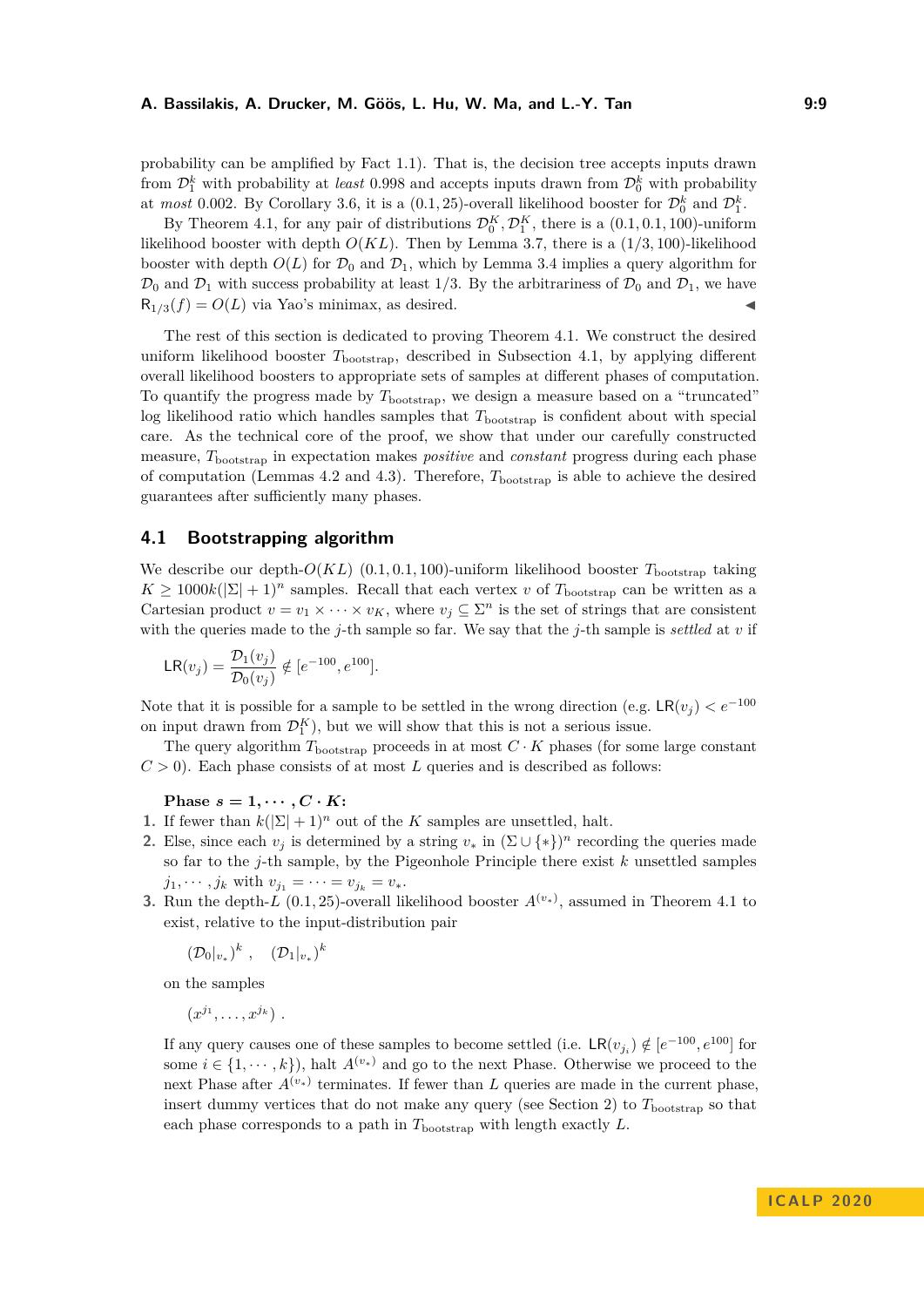probability can be amplified by [Fact 1.1\)](#page-2-1). That is, the decision tree accepts inputs drawn from  $\mathcal{D}_1^k$  with probability at *least* 0.998 and accepts inputs drawn from  $\mathcal{D}_0^k$  with probability at *most* 0.002. By [Corollary 3.6,](#page-7-1) it is a  $(0.1, 25)$ -overall likelihood booster for  $\mathcal{D}_0^k$  and  $\mathcal{D}_1^k$ .

By [Theorem 4.1,](#page-7-3) for any pair of distributions  $\mathcal{D}_0^K$ ,  $\mathcal{D}_1^K$ , there is a  $(0.1, 0.1, 100)$ -uniform likelihood booster with depth  $O(KL)$ . Then by [Lemma 3.7,](#page-7-2) there is a  $(1/3, 100)$ -likelihood booster with depth  $O(L)$  for  $\mathcal{D}_0$  and  $\mathcal{D}_1$ , which by [Lemma 3.4](#page-6-0) implies a query algorithm for  $\mathcal{D}_0$  and  $\mathcal{D}_1$  with success probability at least 1/3. By the arbitrariness of  $\mathcal{D}_0$  and  $\mathcal{D}_1$ , we have  $R_{1/3}(f) = O(L)$  via Yao's minimax, as desired.

The rest of this section is dedicated to proving [Theorem 4.1.](#page-7-3) We construct the desired uniform likelihood booster  $T_{\text{bootstrap}}$ , described in [Subsection 4.1,](#page-8-0) by applying different overall likelihood boosters to appropriate sets of samples at different phases of computation. To quantify the progress made by  $T_{\text{bootstrap}}$ , we design a measure based on a "truncated" log likelihood ratio which handles samples that  $T_{\text{bootstrap}}$  is confident about with special care. As the technical core of the proof, we show that under our carefully constructed measure, *T*bootstrap in expectation makes *positive* and *constant* progress during each phase of computation (Lemmas [4.2](#page-9-0) and [4.3\)](#page-10-0). Therefore, *T*bootstrap is able to achieve the desired guarantees after sufficiently many phases.

## <span id="page-8-0"></span>**4.1 Bootstrapping algorithm**

We describe our depth- $O(KL)$  (0.1, 0.1, 100)-uniform likelihood booster  $T_{\text{bootstrap}}$  taking  $K \geq 1000k(|\Sigma|+1)^n$  samples. Recall that each vertex *v* of  $T_{\text{bootstrap}}$  can be written as a Cartesian product  $v = v_1 \times \cdots \times v_K$ , where  $v_j \subseteq \Sigma^n$  is the set of strings that are consistent with the queries made to the *j*-th sample so far. We say that the *j*-th sample is *settled* at *v* if

$$
\mathsf{LR}(v_j) = \frac{\mathcal{D}_1(v_j)}{\mathcal{D}_0(v_j)} \notin [e^{-100}, e^{100}].
$$

Note that it is possible for a sample to be settled in the wrong direction (e.g.  $LR(v_i) < e^{-100}$ ) on input drawn from  $\mathcal{D}_1^K$ ), but we will show that this is not a serious issue.

The query algorithm  $T_{\text{bootstrap}}$  proceeds in at most  $C \cdot K$  phases (for some large constant  $C > 0$ ). Each phase consists of at most *L* queries and is described as follows:

Phase  $s = 1, \dots, C \cdot K$ :

- **1.** If fewer than  $k(|\Sigma|+1)^n$  out of the *K* samples are unsettled, halt.
- **2.** Else, since each  $v_j$  is determined by a string  $v_*$  in  $(\Sigma \cup \{*\})^n$  recording the queries made so far to the *j*-th sample, by the Pigeonhole Principle there exist *k* unsettled samples  $j_1, \dots, j_k$  with  $v_{j_1} = \dots = v_{j_k} = v_*$ .
- **3.** Run the depth-*L* (0.1, 25)-overall likelihood booster  $A^{(v_*)}$ , assumed in [Theorem 4.1](#page-7-3) to exist, relative to the input-distribution pair

$$
(\mathcal{D}_0|_{v_*})^k, \quad (\mathcal{D}_1|_{v_*})^k
$$

on the samples

$$
(x^{j_1},\ldots,x^{j_k})\ .
$$

If any query causes one of these samples to become settled (i.e.  $LR(v_{j_i}) \notin [e^{-100}, e^{100}]$  for some  $i \in \{1, \dots, k\}$ , halt  $A^{(v_*)}$  and go to the next Phase. Otherwise we proceed to the next Phase after  $A^{(v_*)}$  terminates. If fewer than *L* queries are made in the current phase, insert dummy vertices that do not make any query (see [Section 2\)](#page-5-1) to  $T_{\text{bootstrap}}$  so that each phase corresponds to a path in  $T_{\text{bootstrap}}$  with length exactly *L*.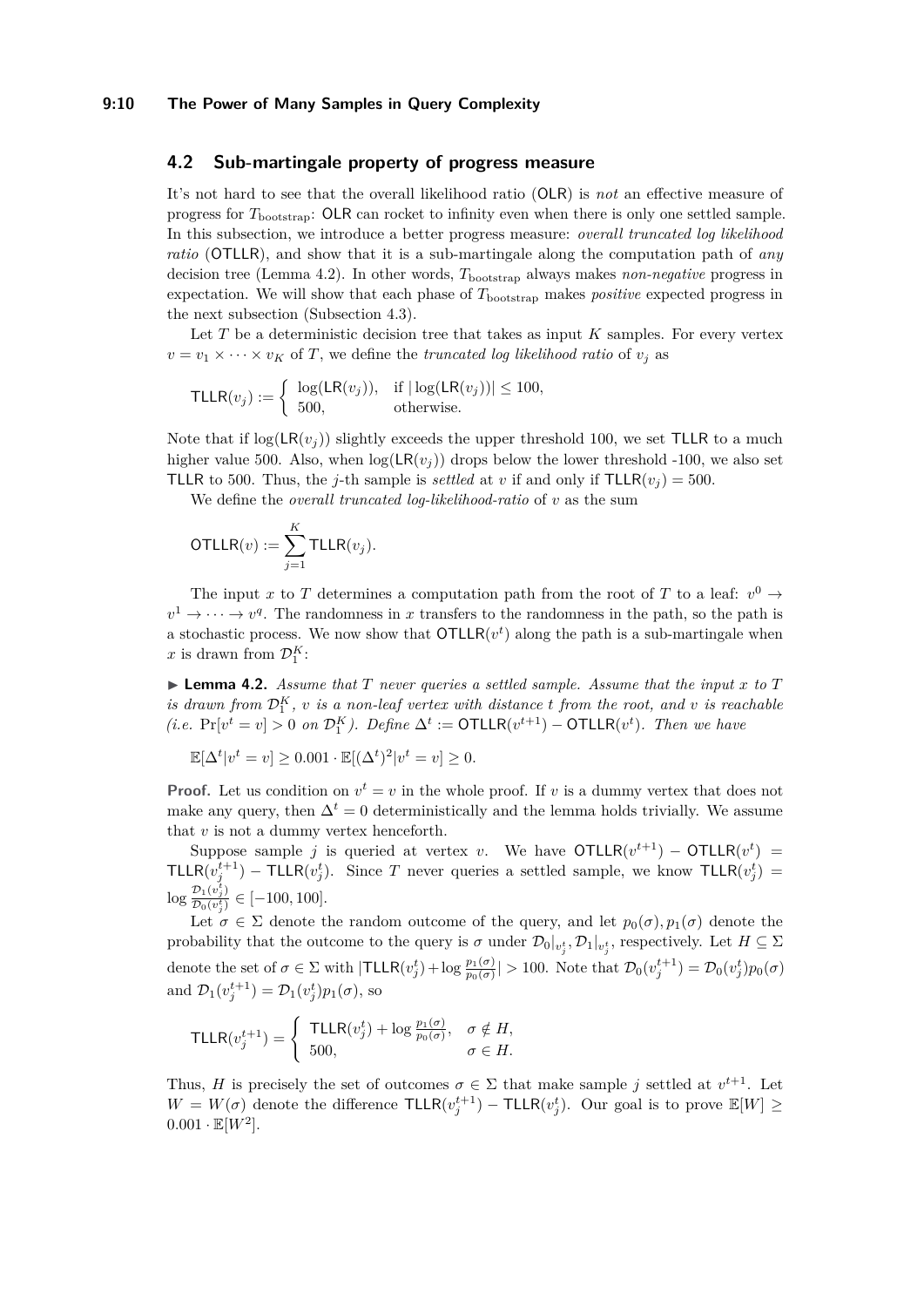#### **9:10 The Power of Many Samples in Query Complexity**

## **4.2 Sub-martingale property of progress measure**

It's not hard to see that the overall likelihood ratio (OLR) is *not* an effective measure of progress for *T*bootstrap: OLR can rocket to infinity even when there is only one settled sample. In this subsection, we introduce a better progress measure: *overall truncated log likelihood ratio* (OTLLR), and show that it is a sub-martingale along the computation path of *any* decision tree [\(Lemma 4.2\)](#page-9-0). In other words,  $T_{\text{bootstrap}}$  always makes *non-negative* progress in expectation. We will show that each phase of  $T_{\text{bootstrap}}$  makes *positive* expected progress in the next subsection [\(Subsection 4.3\)](#page-10-1).

Let *T* be a deterministic decision tree that takes as input *K* samples. For every vertex  $v = v_1 \times \cdots \times v_K$  of *T*, we define the *truncated log likelihood ratio* of  $v_j$  as

$$
\mathsf{TLLR}(v_j) := \begin{cases} \log(\mathsf{LR}(v_j)), & \text{if } |\log(\mathsf{LR}(v_j))| \le 100, \\ 500, & \text{otherwise.} \end{cases}
$$

Note that if  $log(LR(v_i))$  slightly exceeds the upper threshold 100, we set TLLR to a much higher value 500. Also, when  $log(LR(v_i))$  drops below the lower threshold -100, we also set TLLR to 500. Thus, the *j*-th sample is *settled* at *v* if and only if  $TLLR(v_i) = 500$ .

We define the *overall truncated log-likelihood-ratio* of *v* as the sum

$$
\mathsf{OTLLR}(v) := \sum_{j=1}^K \mathsf{TLLR}(v_j).
$$

The input *x* to *T* determines a computation path from the root of *T* to a leaf:  $v^0 \rightarrow$  $v^1 \to \cdots \to v^q$ . The randomness in *x* transfers to the randomness in the path, so the path is a stochastic process. We now show that  $\text{OTLLR}(v^t)$  along the path is a sub-martingale when x is drawn from  $\mathcal{D}_1^K$ :

<span id="page-9-0"></span> $\blacktriangleright$  **Lemma 4.2.** *Assume that T never queries a settled sample. Assume that the input x to T is drawn from*  $\mathcal{D}_1^K$ , *v is a non-leaf vertex with distance t from the root, and <i>v is reachable*  $(i.e.$   $Pr[v^t = v] > 0$  *on*  $\mathcal{D}_1^K$ ). Define  $\Delta^t := \text{OTLLR}(v^{t+1}) - \text{OTLLR}(v^t)$ . Then we have

$$
\mathbb{E}[\Delta^t | v^t = v] \ge 0.001 \cdot \mathbb{E}[(\Delta^t)^2 | v^t = v] \ge 0.
$$

**Proof.** Let us condition on  $v^t = v$  in the whole proof. If *v* is a dummy vertex that does not make any query, then  $\Delta^t = 0$  deterministically and the lemma holds trivially. We assume that *v* is not a dummy vertex henceforth.

Suppose sample *j* is queried at vertex *v*. We have  $\text{OTLLR}(v^{t+1}) - \text{OTLLR}(v^t) =$ TLLR $(v_j^{t+1})$  – TLLR $(v_j^t)$ . Since *T* never queries a settled sample, we know TLLR $(v_j^t)$  =  $\log \frac{\mathcal{D}_1(v_j^t)}{\mathcal{D}_2(v_j^t)}$  $\frac{\partial^2 D_1(v_j)}{\partial^2 D_0(v_j^t)} \in [-100, 100].$ 

Let  $\sigma \in \Sigma$  denote the random outcome of the query, and let  $p_0(\sigma)$ ,  $p_1(\sigma)$  denote the probability that the outcome to the query is  $\sigma$  under  $\mathcal{D}_0|_{v_j^t}$ ,  $\mathcal{D}_1|_{v_j^t}$ , respectively. Let  $H \subseteq \Sigma$ denote the set of  $\sigma \in \Sigma$  with  $|\textsf{TLLR}(v_j^t) + \log \frac{p_1(\sigma)}{p_0(\sigma)}| > 100$ . Note that  $\mathcal{D}_0(v_j^{t+1}) = \mathcal{D}_0(v_j^t)p_0(\sigma)$ and  $\mathcal{D}_1(v_j^{t+1}) = \mathcal{D}_1(v_j^{t})p_1(\sigma)$ , so

$$
\mathsf{TLLR}(v_j^{t+1}) = \begin{cases} \mathsf{TLLR}(v_j^t) + \log \frac{p_1(\sigma)}{p_0(\sigma)}, & \sigma \notin H, \\ 500, & \sigma \in H. \end{cases}
$$

Thus, *H* is precisely the set of outcomes  $\sigma \in \Sigma$  that make sample *j* settled at  $v^{t+1}$ . Let  $W = W(\sigma)$  denote the difference  $\text{TLLR}(v_j^{t+1}) - \text{TLLR}(v_j^t)$ . Our goal is to prove  $\mathbb{E}[W] \geq$  $0.001 \cdot \mathbb{E}[W^2]$ .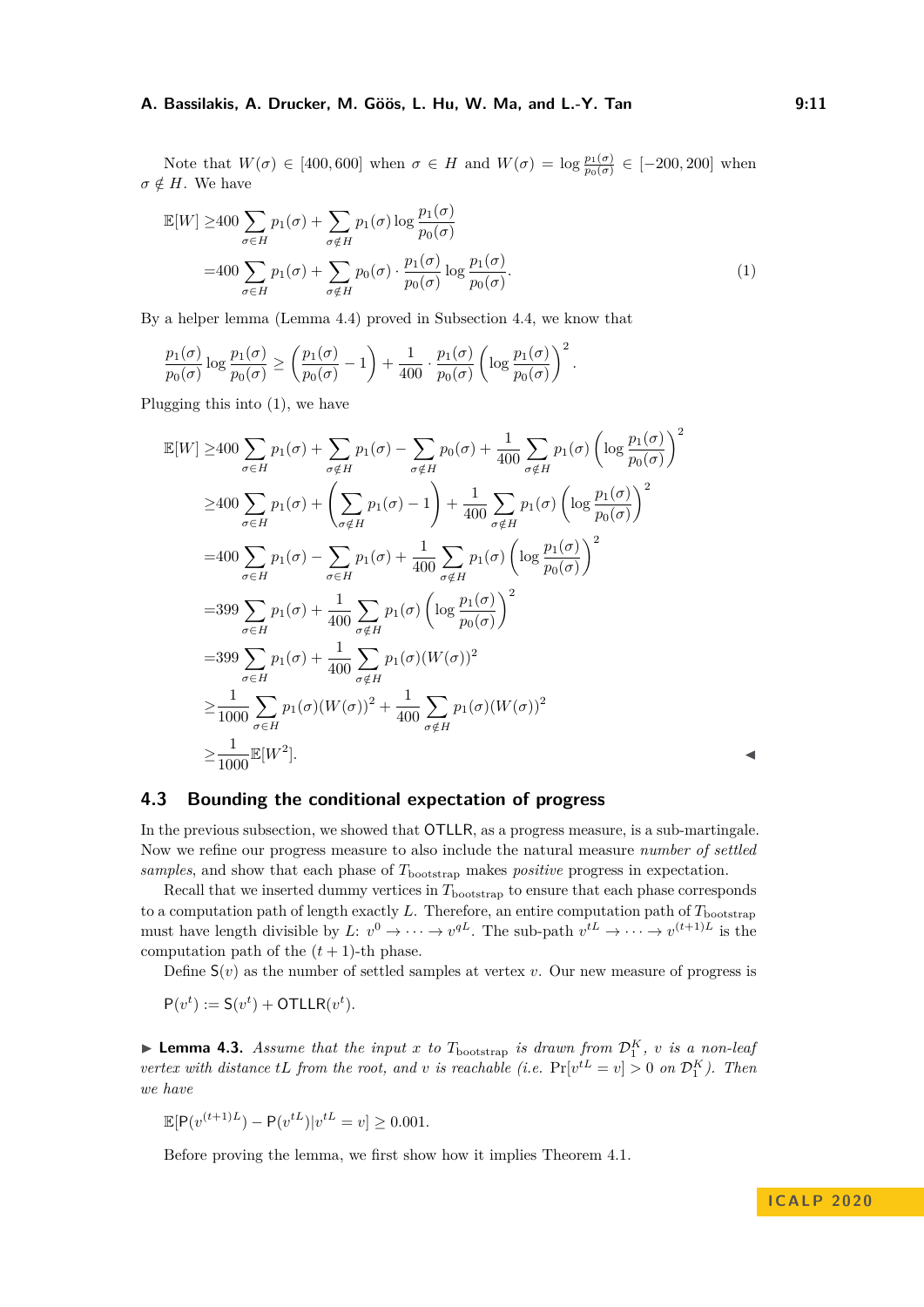#### **A. Bassilakis, A. Drucker, M. Göös, L. Hu, W. Ma, and L.-Y. Tan**  9:11

Note that  $W(\sigma) \in [400, 600]$  when  $\sigma \in H$  and  $W(\sigma) = \log \frac{p_1(\sigma)}{p_0(\sigma)} \in [-200, 200]$  when  $\sigma \notin H$ . We have

<span id="page-10-2"></span>
$$
\mathbb{E}[W] \ge 400 \sum_{\sigma \in H} p_1(\sigma) + \sum_{\sigma \notin H} p_1(\sigma) \log \frac{p_1(\sigma)}{p_0(\sigma)}
$$
  
=400 
$$
\sum_{\sigma \in H} p_1(\sigma) + \sum_{\sigma \notin H} p_0(\sigma) \cdot \frac{p_1(\sigma)}{p_0(\sigma)} \log \frac{p_1(\sigma)}{p_0(\sigma)}.
$$
 (1)

By a helper lemma [\(Lemma 4.4\)](#page-13-1) proved in [Subsection 4.4,](#page-13-2) we know that

$$
\frac{p_1(\sigma)}{p_0(\sigma)} \log \frac{p_1(\sigma)}{p_0(\sigma)} \ge \left(\frac{p_1(\sigma)}{p_0(\sigma)} - 1\right) + \frac{1}{400} \cdot \frac{p_1(\sigma)}{p_0(\sigma)} \left(\log \frac{p_1(\sigma)}{p_0(\sigma)}\right)^2.
$$

Plugging this into [\(1\)](#page-10-2), we have

$$
\mathbb{E}[W] \geq 400 \sum_{\sigma \in H} p_1(\sigma) + \sum_{\sigma \notin H} p_1(\sigma) - \sum_{\sigma \notin H} p_0(\sigma) + \frac{1}{400} \sum_{\sigma \notin H} p_1(\sigma) \left( \log \frac{p_1(\sigma)}{p_0(\sigma)} \right)^2
$$
  
\n
$$
\geq 400 \sum_{\sigma \in H} p_1(\sigma) + \left( \sum_{\sigma \notin H} p_1(\sigma) - 1 \right) + \frac{1}{400} \sum_{\sigma \notin H} p_1(\sigma) \left( \log \frac{p_1(\sigma)}{p_0(\sigma)} \right)^2
$$
  
\n
$$
= 400 \sum_{\sigma \in H} p_1(\sigma) - \sum_{\sigma \in H} p_1(\sigma) + \frac{1}{400} \sum_{\sigma \notin H} p_1(\sigma) \left( \log \frac{p_1(\sigma)}{p_0(\sigma)} \right)^2
$$
  
\n
$$
= 399 \sum_{\sigma \in H} p_1(\sigma) + \frac{1}{400} \sum_{\sigma \notin H} p_1(\sigma) \left( \log \frac{p_1(\sigma)}{p_0(\sigma)} \right)^2
$$
  
\n
$$
\geq \frac{1}{1000} \sum_{\sigma \in H} p_1(\sigma) \left( W(\sigma) \right)^2 + \frac{1}{400} \sum_{\sigma \notin H} p_1(\sigma) \left( W(\sigma) \right)^2
$$
  
\n
$$
\geq \frac{1}{1000} \mathbb{E}[W^2].
$$

## <span id="page-10-1"></span>**4.3 Bounding the conditional expectation of progress**

In the previous subsection, we showed that OTLLR, as a progress measure, is a sub-martingale. Now we refine our progress measure to also include the natural measure *number of settled samples*, and show that each phase of *T*bootstrap makes *positive* progress in expectation.

Recall that we inserted dummy vertices in  $T_{\text{bootstrap}}$  to ensure that each phase corresponds to a computation path of length exactly  $L$ . Therefore, an entire computation path of  $T_{\text{bootstrap}}$ must have length divisible by  $L: v^0 \to \cdots \to v^{qL}$ . The sub-path  $v^{tL} \to \cdots \to v^{(t+1)L}$  is the computation path of the  $(t + 1)$ -th phase.

Define  $S(v)$  as the number of settled samples at vertex *v*. Our new measure of progress is

$$
P(v^t) := S(v^t) + \text{OTLLR}(v^t).
$$

<span id="page-10-0"></span>**Example 1.3.** Assume that the input x to  $T_{\text{bootstrap}}$  is drawn from  $\mathcal{D}_1^K$ , v is a non-leaf *vertex with distance tL from the root, and v is reachable* (*i.e.*  $Pr[v^{tL} = v] > 0$  *on*  $\mathcal{D}_1^K$ ). Then *we have*

$$
\mathbb{E}[P(v^{(t+1)L}) - P(v^{tL})|v^{tL} = v] \ge 0.001.
$$

Before proving the lemma, we first show how it implies [Theorem 4.1.](#page-7-3)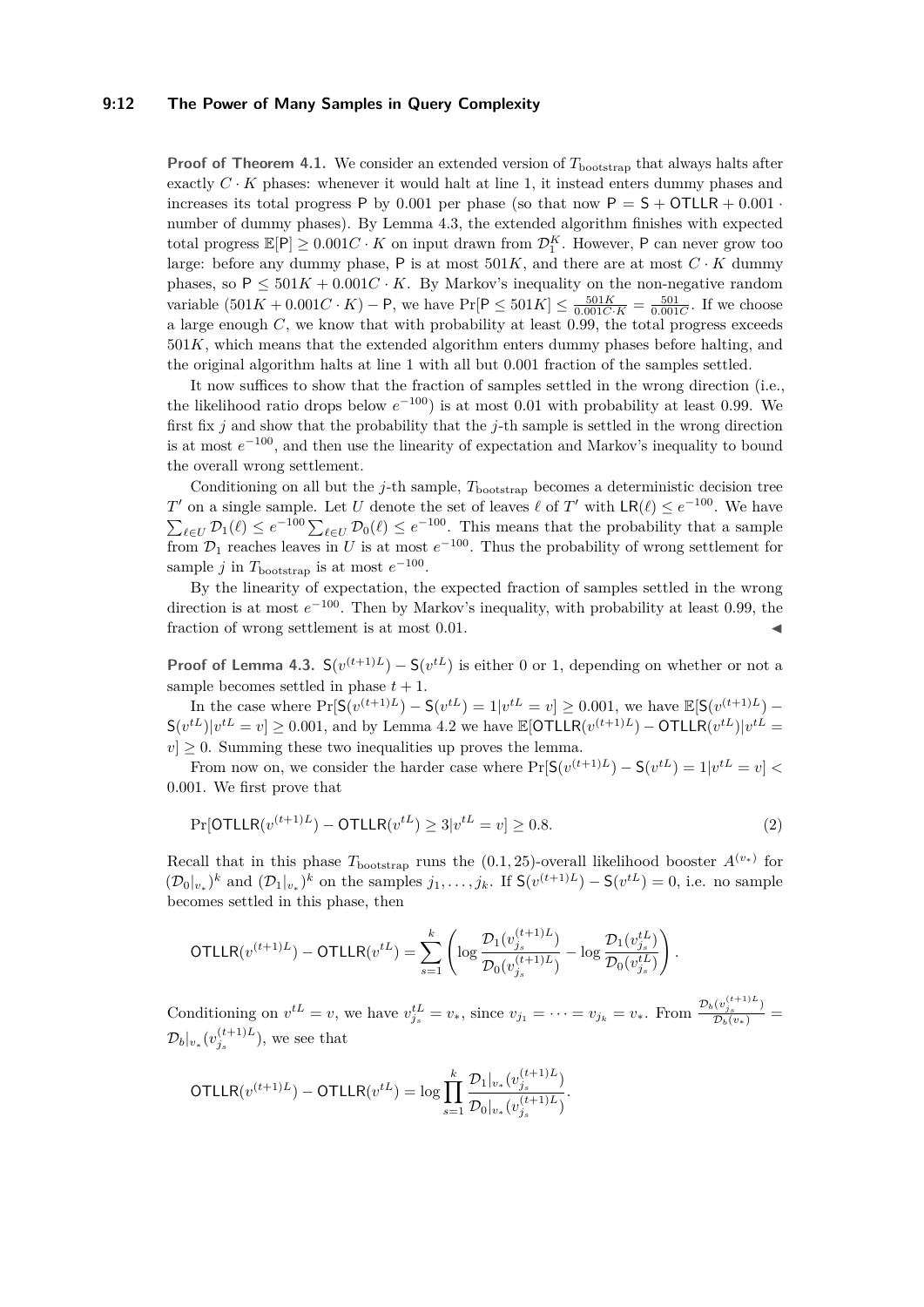#### **9:12 The Power of Many Samples in Query Complexity**

**Proof of [Theorem 4.1.](#page-7-3)** We consider an extended version of  $T_{\text{bootstrap}}$  that always halts after exactly  $C \cdot K$  phases: whenever it would halt at line 1, it instead enters dummy phases and increases its total progress P by 0.001 per phase (so that now  $P = S + OTLLR + 0.001$ number of dummy phases). By [Lemma 4.3,](#page-10-0) the extended algorithm finishes with expected total progress  $\mathbb{E}[P] \geq 0.001C \cdot K$  on input drawn from  $\mathcal{D}_1^K$ . However, P can never grow too large: before any dummy phase, P is at most  $501K$ , and there are at most  $C \cdot K$  dummy phases, so  $P \le 501K + 0.001C \cdot K$ . By Markov's inequality on the non-negative random variable  $(501K + 0.001C \cdot K) - P$ , we have  $Pr[P \le 501K] \le \frac{501K}{0.001C \cdot K} = \frac{501}{0.001C}$ . If we choose a large enough *C*, we know that with probability at least 0*.*99, the total progress exceeds 501*K*, which means that the extended algorithm enters dummy phases before halting, and the original algorithm halts at line 1 with all but 0.001 fraction of the samples settled.

It now suffices to show that the fraction of samples settled in the wrong direction (i.e., the likelihood ratio drops below  $e^{-100}$ ) is at most 0.01 with probability at least 0.99. We first fix *j* and show that the probability that the *j*-th sample is settled in the wrong direction is at most  $e^{-100}$ , and then use the linearity of expectation and Markov's inequality to bound the overall wrong settlement.

Conditioning on all but the *j*-th sample,  $T_{\text{bootstrap}}$  becomes a deterministic decision tree *T*<sup>*T*</sup> on a single sample. Let *U* denote the set of leaves  $\ell$  of *T*<sup> $\prime$ </sup> with  $\mathsf{LR}(\ell) \leq e^{-100}$ . We have  $\sum_{\ell \in U} \mathcal{D}_1(\ell) \leq e^{-100} \sum_{\ell \in U} \mathcal{D}_0(\ell) \leq e^{-100}$ . This means that the probability that a sample from  $\mathcal{D}_1$  reaches leaves in *U* is at most  $e^{-100}$ . Thus the probability of wrong settlement for sample *j* in  $T_{\text{bootstrap}}$  is at most  $e^{-100}$ .

By the linearity of expectation, the expected fraction of samples settled in the wrong direction is at most *e* <sup>−</sup><sup>100</sup>. Then by Markov's inequality, with probability at least 0*.*99, the fraction of wrong settlement is at most 0.01.

**Proof of [Lemma 4.3.](#page-10-0)**  $S(v^{(t+1)L}) - S(v^{tL})$  is either 0 or 1, depending on whether or not a sample becomes settled in phase  $t + 1$ .

In the case where  $Pr[S(v^{(t+1)L}) - S(v^{tL}) = 1 | v^{tL} = v] \ge 0.001$ , we have  $\mathbb{E}[S(v^{(t+1)L}) - S(v^{(t+1)L}) = 1 | v^{tL} = v]$  $S(v^{tL})|v^{tL} = v] \ge 0.001$ , and by [Lemma 4.2](#page-9-0) we have  $\mathbb{E}[\text{OTLLR}(v^{(t+1)L}) - \text{OTLLR}(v^{tL})|v^{tL} = v]$  $|v| \geq 0$ . Summing these two inequalities up proves the lemma.

From now on, we consider the harder case where  $Pr[S(v^{(t+1)L}) - S(v^{tL}) = 1|v^{tL} = v]$ 0*.*001. We first prove that

<span id="page-11-0"></span>
$$
\Pr[\text{OTLLR}(v^{(t+1)L}) - \text{OTLLR}(v^{tL}) \ge 3 | v^{tL} = v] \ge 0.8. \tag{2}
$$

Recall that in this phase  $T_{\text{bootstrap}}$  runs the  $(0.1, 25)$ -overall likelihood booster  $A^{(v_*)}$  for  $(\mathcal{D}_0|_{v_*})^k$  and  $(\mathcal{D}_1|_{v_*})^k$  on the samples  $j_1, \ldots, j_k$ . If  $\mathsf{S}(v^{(t+1)L}) - \mathsf{S}(v^{tL}) = 0$ , i.e. no sample becomes settled in this phase, then

$$
\text{OTLLR}(v^{(t+1)L}) - \text{OTLLR}(v^{tL}) = \sum_{s=1}^{k} \left( \log \frac{\mathcal{D}_1(v_{j_s}^{(t+1)L})}{\mathcal{D}_0(v_{j_s}^{(t+1)L})} - \log \frac{\mathcal{D}_1(v_{j_s}^{tL})}{\mathcal{D}_0(v_{j_s}^{tL})} \right).
$$

Conditioning on  $v^{tL} = v$ , we have  $v_{j_s}^{tL} = v_*$ , since  $v_{j_1} = \cdots = v_{j_k} = v_*$ . From  $\frac{\mathcal{D}_b(v_{j_s}^{(t+1)L})}{\mathcal{D}_b(v_*)} =$  $\mathcal{D}_b|_{v_*}(v_{j_s}^{(t+1)L}),$  we see that

$$
\text{OTLLR}(v^{(t+1)L}) - \text{OTLLR}(v^{tL}) = \log \prod_{s=1}^k \frac{\mathcal{D}_1|_{v_*}(v_{j_s}^{(t+1)L})}{\mathcal{D}_0|_{v_*}(v_{j_s}^{(t+1)L})}.
$$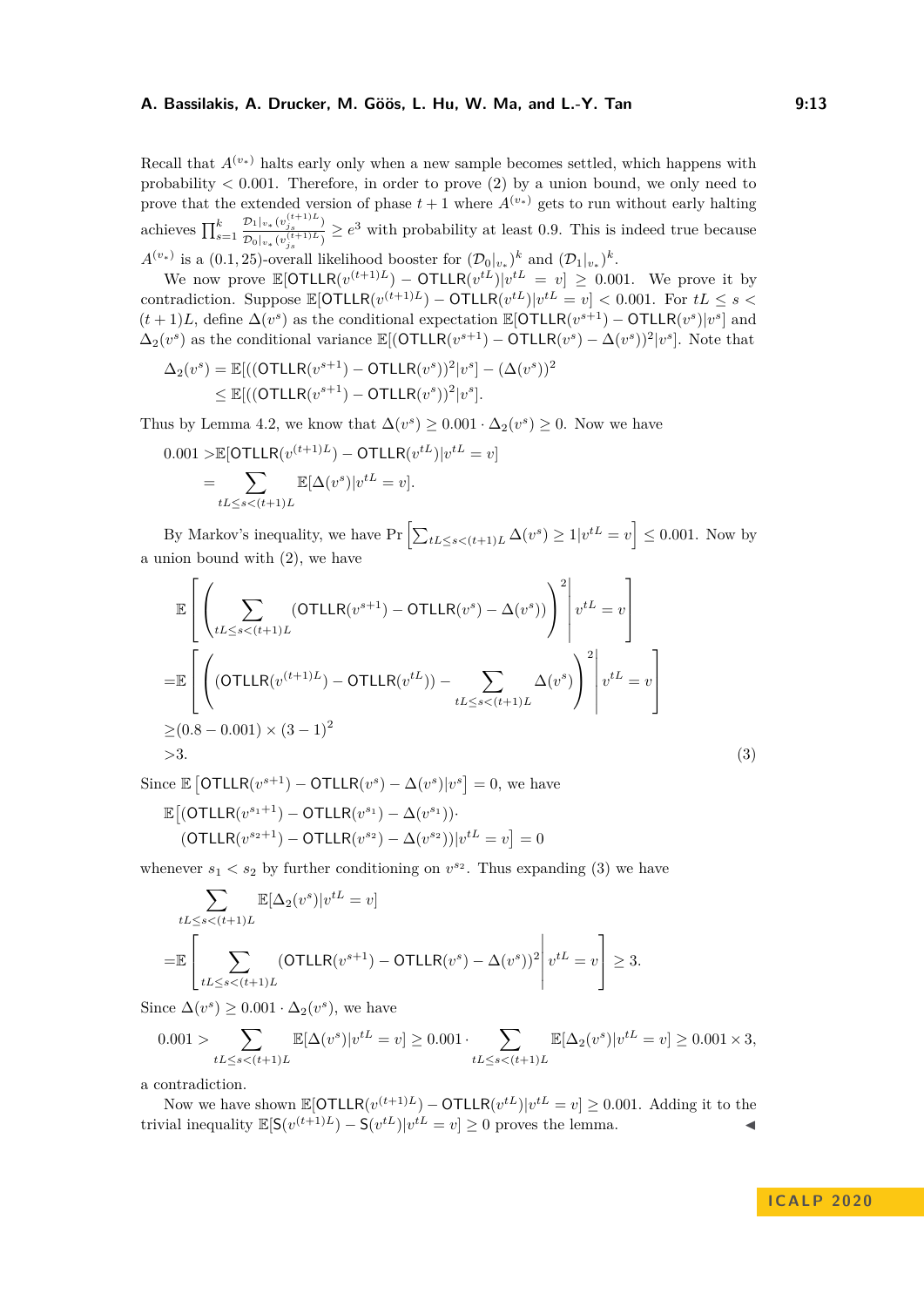Recall that  $A^{(v_*)}$  halts early only when a new sample becomes settled, which happens with probability  $\lt 0.001$ . Therefore, in order to prove [\(2\)](#page-11-0) by a union bound, we only need to prove that the extended version of phase  $t + 1$  where  $A^{(v_*)}$  gets to run without early halting achieves  $\prod_{s=1}^{k}$  $\mathcal{D}_1|_{v_*}(v_{j_s}^{(t+1)L})$  $\frac{\nu_1|_{v_*}(v_{j_s})}{\nu_0|_{v_*}(v_{j_s}^{(t+1)L})} \geq e^3$  with probability at least 0.9. This is indeed true because

 $A^{(v_*)}$  is a (0.1, 25)-overall likelihood booster for  $(\mathcal{D}_0|_{v_*})^k$  and  $(\mathcal{D}_1|_{v_*})^k$ . We now prove  $\mathbb{E}[\text{OTLLR}(v^{(t+1)L}) - \text{OTLLR}(v^{tL})|v^{tL} = v] \geq 0.001$ . We prove it by

contradiction. Suppose  $\mathbb{E}[\text{OTLLR}(v^{(t+1)L}) - \text{OTLLR}(v^{tL})|v^{tL} = v] < 0.001$ . For  $tL \leq s <$  $(t+1)L$ , define  $\Delta(v^s)$  as the conditional expectation  $\mathbb{E}[\text{OTLLR}(v^{s+1}) - \text{OTLLR}(v^s)|v^s]$  and  $\Delta_2(v^s)$  as the conditional variance  $\mathbb{E}[(\text{OTLLR}(v^{s+1}) - \text{OTLLR}(v^s) - \Delta(v^s))^2 | v^s].$  Note that

$$
\Delta_2(v^s) = \mathbb{E}[((\text{OTLLR}(v^{s+1}) - \text{OTLLR}(v^s))^2 | v^s] - (\Delta(v^s))^2
$$
  
\n
$$
\leq \mathbb{E}[((\text{OTLLR}(v^{s+1}) - \text{OTLLR}(v^s))^2 | v^s].
$$

Thus by [Lemma 4.2,](#page-9-0) we know that  $\Delta(v^s) \geq 0.001 \cdot \Delta_2(v^s) \geq 0$ . Now we have

$$
0.001 > \mathbb{E}[\text{OTLLR}(v^{(t+1)L}) - \text{OTLLR}(v^{tL})|v^{tL} = v]
$$
  
= 
$$
\sum_{tL \le s < (t+1)L} \mathbb{E}[\Delta(v^s)|v^{tL} = v].
$$

By Markov's inequality, we have  $Pr\left[\sum_{tL\leq s\leq (t+1)L}\Delta(v^s)\geq 1|v^{tL}=v\right]\leq 0.001$ . Now by a union bound with [\(2\)](#page-11-0), we have

$$
\mathbb{E}\left[\left(\sum_{tL\leq s< (t+1)L}(\text{OTLLR}(v^{s+1}) - \text{OTLLR}(v^s) - \Delta(v^s))\right)^2 \middle| v^{tL} = v\right]
$$
\n
$$
= \mathbb{E}\left[\left(\left(\text{OTLLR}(v^{(t+1)L}) - \text{OTLLR}(v^{tL})) - \sum_{tL\leq s< (t+1)L} \Delta(v^s)\right)^2 \middle| v^{tL} = v\right]
$$
\n
$$
\geq (0.8 - 0.001) \times (3 - 1)^2
$$
\n
$$
> 3.
$$
\n(3)

Since  $\mathbb{E} \left[ \text{OTLLR}(v^{s+1}) - \text{OTLLR}(v^s) - \Delta(v^s) | v^s \right] = 0$ , we have  $\mathbb{E}[(\text{OTLLR}(v^{s_1+1}) - \text{OTLLR}(v^{s_1}) - \Delta(v^{s_1}))$ 

<span id="page-12-0"></span>
$$
(\text{OTLLR}(v^{s_2+1}) - \text{OTLLR}(v^{s_2}) - \Delta(v^{s_2}))|v^{tL} = v] = 0
$$

whenever  $s_1 < s_2$  by further conditioning on  $v^{s_2}$ . Thus expanding [\(3\)](#page-12-0) we have

$$
\sum_{tL \le s < (t+1)L} \mathbb{E}[\Delta_2(v^s)|v^{tL} = v]
$$
\n
$$
= \mathbb{E}\left[\sum_{tL \le s < (t+1)L} (\text{OTLLR}(v^{s+1}) - \text{OTLLR}(v^s) - \Delta(v^s))^2\middle| v^{tL} = v\right] \ge 3.
$$

Since  $\Delta(v^s) \geq 0.001 \cdot \Delta_2(v^s)$ , we have

$$
0.001 > \sum_{tL \le s < (t+1)L} \mathbb{E}[\Delta(v^s)|v^{tL} = v] \ge 0.001 \cdot \sum_{tL \le s < (t+1)L} \mathbb{E}[\Delta_2(v^s)|v^{tL} = v] \ge 0.001 \times 3,
$$

a contradiction.

Now we have shown  $\mathbb{E}[\text{OTLLR}(v^{(t+1)L}) - \text{OTLLR}(v^{tL})|v^{tL} = v] \geq 0.001$ . Adding it to the trivial inequality  $\mathbb{E}[S(v^{(t+1)L}) - S(v^{tL})]v^{tL} = v] \ge 0$  proves the lemma.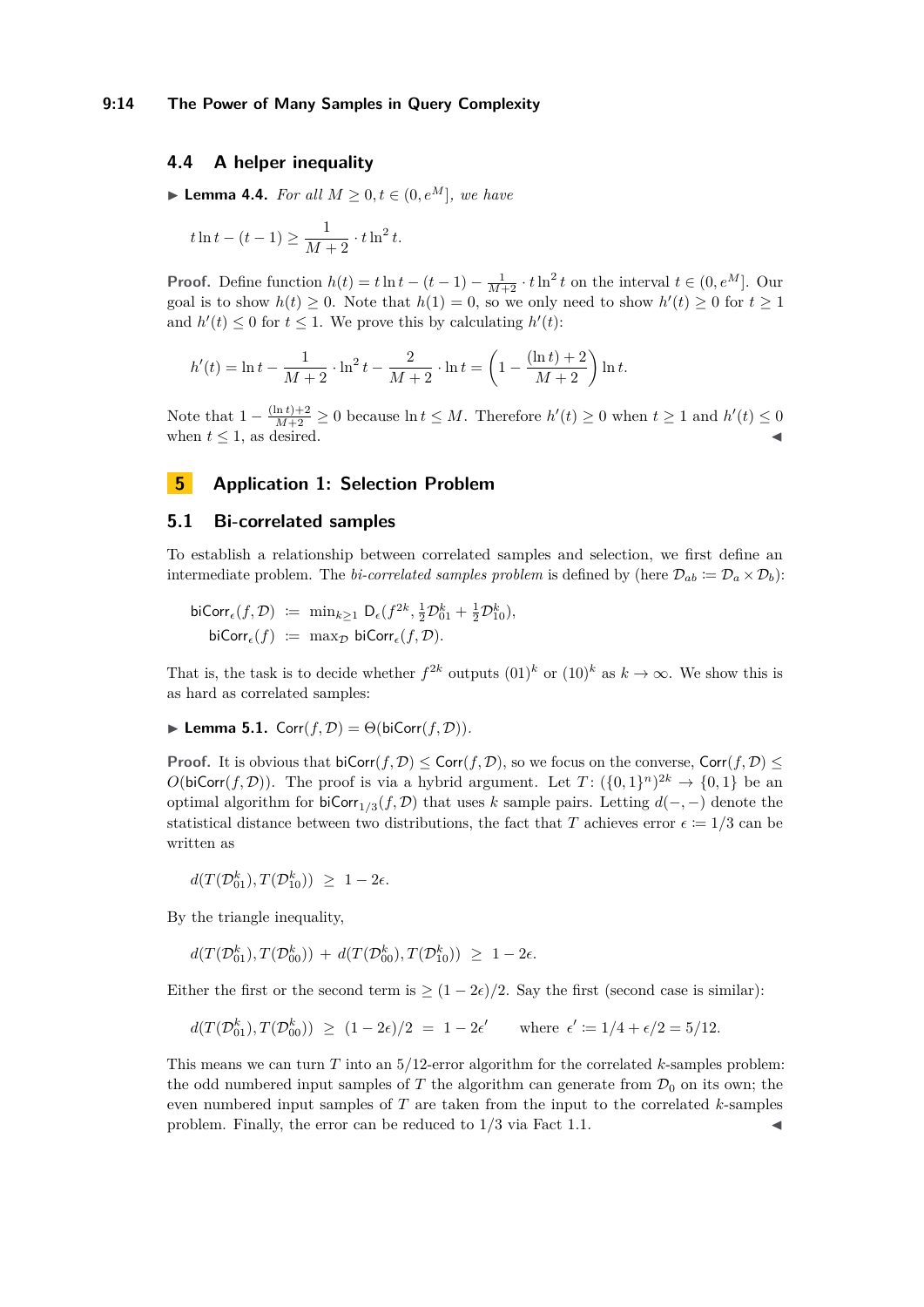## <span id="page-13-2"></span>**4.4 A helper inequality**

<span id="page-13-1"></span>▶ **Lemma 4.4.** *For all*  $M \geq 0, t \in (0, e^M]$ *, we have* 

$$
t\ln t - (t-1) \ge \frac{1}{M+2} \cdot t\ln^2 t.
$$

**Proof.** Define function  $h(t) = t \ln t - (t - 1) - \frac{1}{M+2} \cdot t \ln^2 t$  on the interval  $t \in (0, e^M]$ . Our goal is to show  $h(t) \geq 0$ . Note that  $h(1) = 0$ , so we only need to show  $h'(t) \geq 0$  for  $t \geq 1$ and  $h'(t) \leq 0$  for  $t \leq 1$ . We prove this by calculating  $h'(t)$ :

$$
h'(t) = \ln t - \frac{1}{M+2} \cdot \ln^2 t - \frac{2}{M+2} \cdot \ln t = \left(1 - \frac{(\ln t) + 2}{M+2}\right) \ln t.
$$

Note that  $1 - \frac{(\ln t) + 2}{M+2} \ge 0$  because  $\ln t \le M$ . Therefore  $h'(t) \ge 0$  when  $t \ge 1$  and  $h'(t) \le 0$ when  $t \leq 1$ , as desired.

## <span id="page-13-0"></span>**5 Application 1: Selection Problem**

## <span id="page-13-4"></span>**5.1 Bi-correlated samples**

To establish a relationship between correlated samples and selection, we first define an intermediate problem. The *bi-correlated samples problem* is defined by (here  $\mathcal{D}_{ab} := \mathcal{D}_a \times \mathcal{D}_b$ ):

$$
\begin{array}{rcl}\n\mathsf{biCorr}_{\epsilon}(f, \mathcal{D}) & := & \min_{k \geq 1} \mathsf{D}_{\epsilon}(f^{2k}, \frac{1}{2}\mathcal{D}_{01}^{k} + \frac{1}{2}\mathcal{D}_{10}^{k}), \\
\mathsf{biCorr}_{\epsilon}(f) & := & \max_{\mathcal{D}} \mathsf{biCorr}_{\epsilon}(f, \mathcal{D}).\n\end{array}
$$

That is, the task is to decide whether  $f^{2k}$  outputs  $(01)^k$  or  $(10)^k$  as  $k \to \infty$ . We show this is as hard as correlated samples:

<span id="page-13-3"></span>
$$
\blacktriangleright
$$
 Lemma 5.1.  $Corr(f, \mathcal{D}) = \Theta(\text{biCorr}(f, \mathcal{D})).$ 

**Proof.** It is obvious that  $\text{biCorr}(f, \mathcal{D}) \leq \text{Corr}(f, \mathcal{D})$ , so we focus on the converse,  $\text{Corr}(f, \mathcal{D}) \leq \text{Corr}(f, \mathcal{D})$  $O(\text{biCorr}(f, \mathcal{D}))$ . The proof is via a hybrid argument. Let  $T: (\{0,1\}^n)^{2k} \to \{0,1\}$  be an optimal algorithm for biCorr<sub>1/3</sub>(*f,* D) that uses *k* sample pairs. Letting  $d(-,-)$  denote the statistical distance between two distributions, the fact that *T* achieves error  $\epsilon := 1/3$  can be written as

$$
d(T(\mathcal{D}_{01}^k), T(\mathcal{D}_{10}^k)) \geq 1 - 2\epsilon.
$$

By the triangle inequality,

$$
d(T(\mathcal{D}_{01}^k), T(\mathcal{D}_{00}^k)) + d(T(\mathcal{D}_{00}^k), T(\mathcal{D}_{10}^k)) \geq 1 - 2\epsilon.
$$

Either the first or the second term is  $\geq (1 - 2\epsilon)/2$ . Say the first (second case is similar):

$$
d(T(\mathcal{D}_{01}^k), T(\mathcal{D}_{00}^k)) \ge (1 - 2\epsilon)/2 = 1 - 2\epsilon' \quad \text{where } \epsilon' \coloneqq 1/4 + \epsilon/2 = 5/12.
$$

This means we can turn *T* into an 5*/*12-error algorithm for the correlated *k*-samples problem: the odd numbered input samples of *T* the algorithm can generate from  $\mathcal{D}_0$  on its own; the even numbered input samples of *T* are taken from the input to the correlated *k*-samples problem. Finally, the error can be reduced to  $1/3$  via [Fact 1.1.](#page-2-1)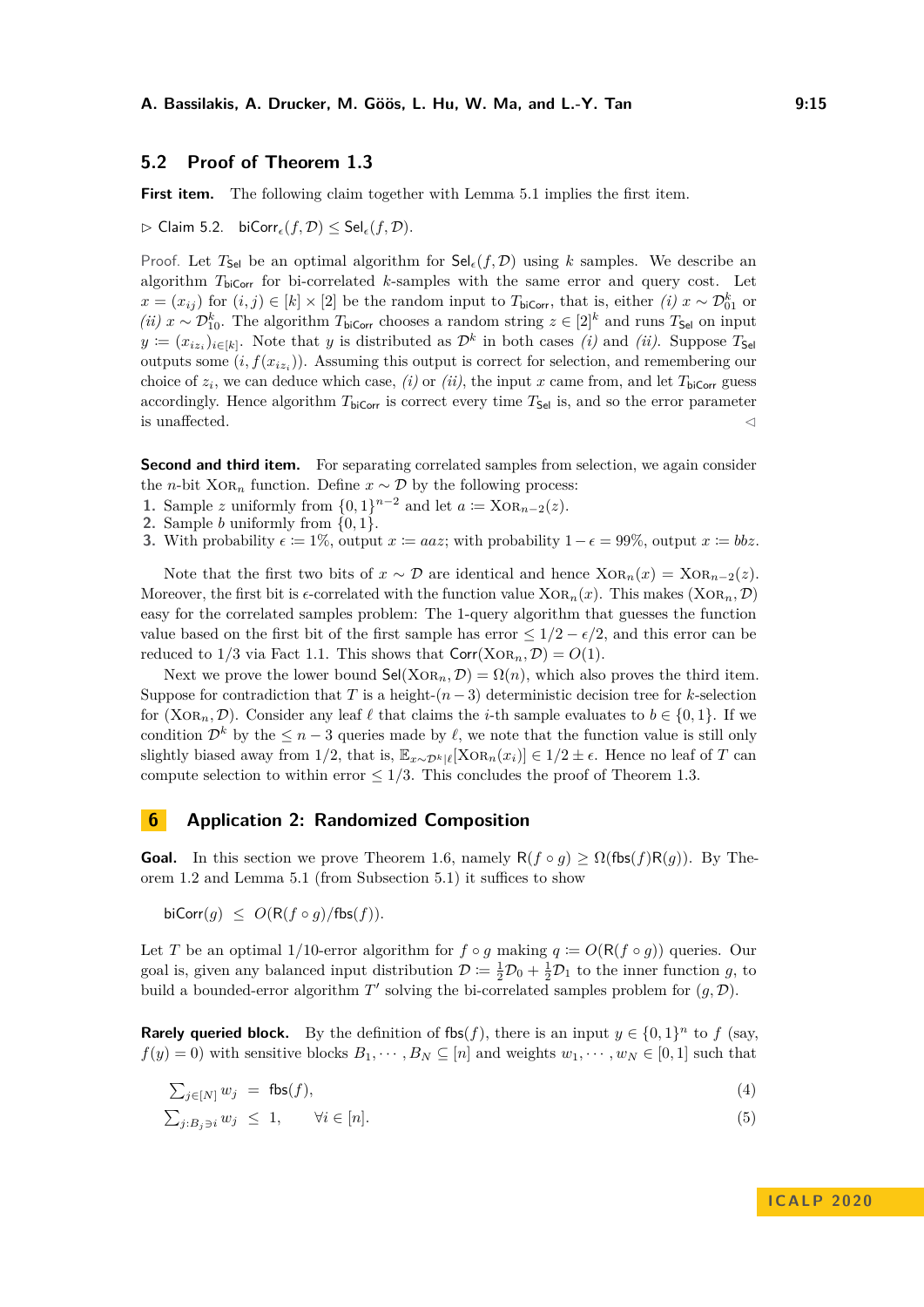## **5.2 Proof of [Theorem 1.3](#page-3-0)**

First item. The following claim together with [Lemma 5.1](#page-13-3) implies the first item.

 $\triangleright$  Claim 5.2. biCorr<sub> $\epsilon$ </sub> $(f, \mathcal{D}) \leq$  Sel $_{\epsilon}$  $(f, \mathcal{D})$ .

Proof. Let  $T_{\text{Sel}}$  be an optimal algorithm for  $\text{Sel}_{\epsilon}(f, \mathcal{D})$  using k samples. We describe an algorithm  $T_{\text{biCorr}}$  for bi-correlated *k*-samples with the same error and query cost. Let *x* =  $(x_{ij})$  for  $(i, j) \in [k] \times [2]$  be the random input to *T*<sub>biCorr</sub>, that is, either  $(i)$  *x* ∼  $\mathcal{D}_{01}^k$  or *(ii)*  $x \sim \mathcal{D}_{10}^k$ . The algorithm  $T_{\text{biCorr}}$  chooses a random string  $z \in [2]^k$  and runs  $T_{\text{Sel}}$  on input  $y := (x_{iz_i})_{i \in [k]}$ . Note that *y* is distributed as  $\mathcal{D}^k$  in both cases *(i)* and *(ii)*. Suppose  $T_{\mathsf{Sel}}$ outputs some  $(i, f(x_{iz_i}))$ . Assuming this output is correct for selection, and remembering our choice of  $z_i$ , we can deduce which case, *(i)* or *(ii)*, the input *x* came from, and let  $T_{\text{biCorr}}$  guess accordingly. Hence algorithm  $T_{\text{biCorr}}$  is correct every time  $T_{\text{Sel}}$  is, and so the error parameter is unaffected.  $\hfill \triangleleft$ 

**Second and third item.** For separating correlated samples from selection, we again consider the *n*-bit Xo $R_n$  function. Define  $x \sim \mathcal{D}$  by the following process:

- **1.** Sample *z* uniformly from  $\{0,1\}^{n-2}$  and let  $a := \text{XOR}_{n-2}(z)$ .
- **2.** Sample *b* uniformly from {0*,* 1}.
- **3.** With probability  $\epsilon = 1\%$ , output  $x = aaz$ ; with probability  $1 \epsilon = 99\%$ , output  $x = bbz$ .

Note that the first two bits of  $x \sim \mathcal{D}$  are identical and hence  $XOR_n(x) = XOR_{n-2}(x)$ . Moreover, the first bit is  $\epsilon$ -correlated with the function value  $XOR_n(x)$ . This makes  $(XOR_n, \mathcal{D})$ easy for the correlated samples problem: The 1-query algorithm that guesses the function value based on the first bit of the first sample has error  $\leq 1/2 - \epsilon/2$ , and this error can be reduced to  $1/3$  via [Fact 1.1.](#page-2-1) This shows that  $Corr(XOR_n, \mathcal{D}) = O(1)$ .

Next we prove the lower bound  $\mathsf{Sel}(X \text{OR}_n, \mathcal{D}) = \Omega(n)$ , which also proves the third item. Suppose for contradiction that *T* is a height- $(n-3)$  deterministic decision tree for *k*-selection for (XoR<sub>n</sub>, D). Consider any leaf  $\ell$  that claims the *i*-th sample evaluates to  $b \in \{0, 1\}$ . If we condition  $\mathcal{D}^k$  by the  $\leq n-3$  queries made by  $\ell$ , we note that the function value is still only slightly biased away from 1/2, that is,  $\mathbb{E}_{x \sim \mathcal{D}^k|\ell}[\text{XOR}_n(x_i)] \in 1/2 \pm \epsilon$ . Hence no leaf of *T* can compute selection to within error  $\leq 1/3$ . This concludes the proof of [Theorem 1.3.](#page-3-0)

## <span id="page-14-0"></span>**6 Application 2: Randomized Composition**

**Goal.** In this section we prove [Theorem 1.6,](#page-4-1) namely  $R(f \circ g) \ge \Omega(f \circ f)R(g)$ . By [The](#page-2-2)[orem 1.2](#page-2-2) and [Lemma 5.1](#page-13-3) (from [Subsection 5.1\)](#page-13-4) it suffices to show

 $\text{biCorr}(g) \leq O(\text{R}(f \circ g)/\text{fbs}(f)).$ 

Let *T* be an optimal 1/10-error algorithm for  $f \circ g$  making  $q := O(R(f \circ g))$  queries. Our goal is, given any balanced input distribution  $\mathcal{D} := \frac{1}{2}\mathcal{D}_0 + \frac{1}{2}\mathcal{D}_1$  to the inner function g, to build a bounded-error algorithm  $T'$  solving the bi-correlated samples problem for  $(g, \mathcal{D})$ .

**Rarely queried block.** By the definition of fbs(f), there is an input  $y \in \{0,1\}^n$  to f (say,  $f(y) = 0$ ) with sensitive blocks  $B_1, \dots, B_N \subseteq [n]$  and weights  $w_1, \dots, w_N \in [0, 1]$  such that

<span id="page-14-2"></span>
$$
\sum_{j \in [N]} w_j = \text{fbs}(f), \tag{4}
$$

<span id="page-14-1"></span>
$$
\sum_{j:B_j \ni i} w_j \leq 1, \qquad \forall i \in [n]. \tag{5}
$$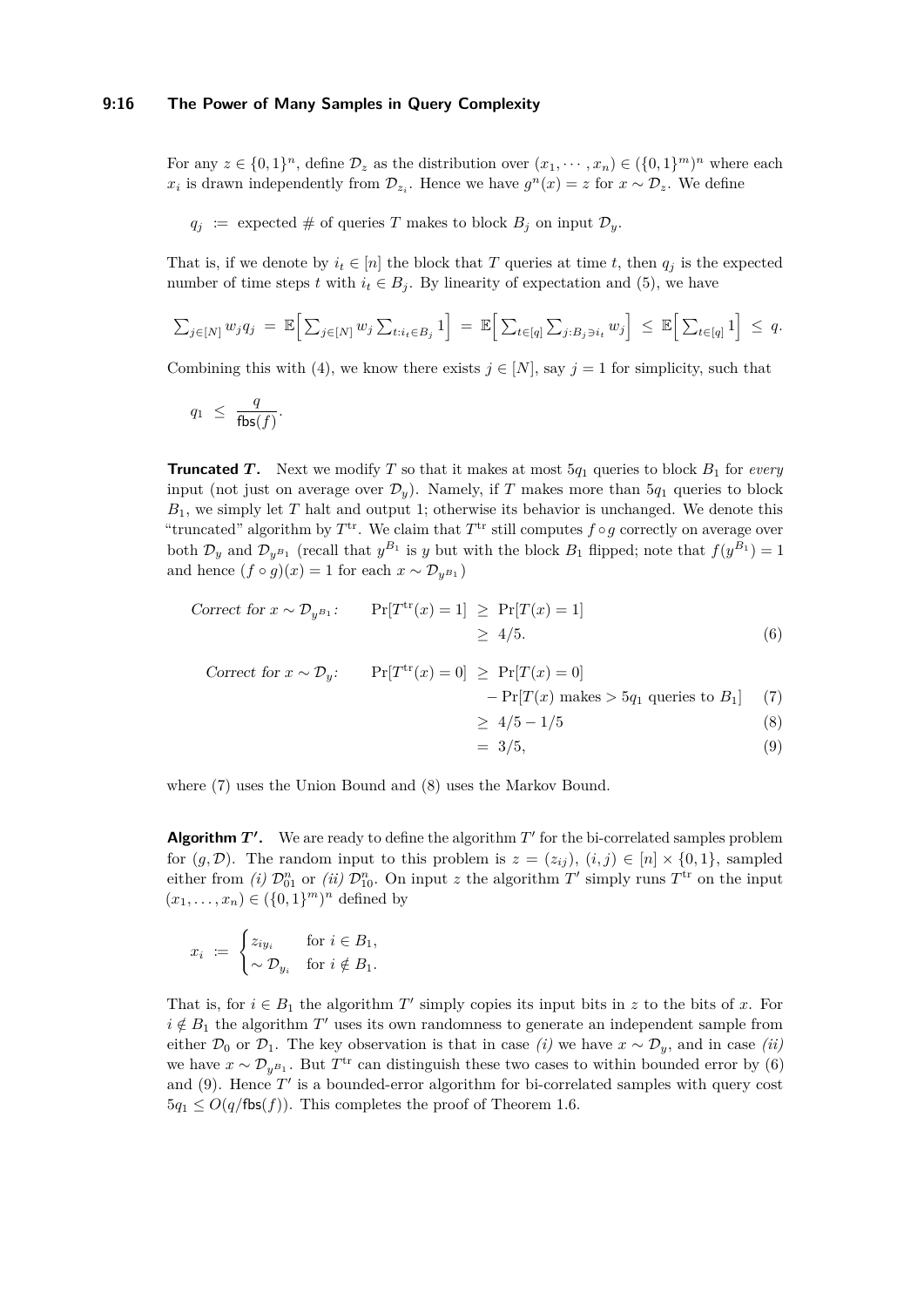#### **9:16 The Power of Many Samples in Query Complexity**

For any  $z \in \{0,1\}^n$ , define  $\mathcal{D}_z$  as the distribution over  $(x_1, \dots, x_n) \in (\{0,1\}^m)^n$  where each *x*<sub>*i*</sub> is drawn independently from  $\mathcal{D}_{z_i}$ . Hence we have  $g^n(x) = z$  for  $x \sim \mathcal{D}_z$ . We define

 $q_j$  :  $=$  expected  $\#$  of queries *T* makes to block  $B_j$  on input  $\mathcal{D}_y$ *.* 

That is, if we denote by  $i_t \in [n]$  the block that *T* queries at time *t*, then  $q_j$  is the expected number of time steps *t* with  $i_t \in B_i$ . By linearity of expectation and [\(5\)](#page-14-1), we have

$$
\sum_{j\in[N]} w_j q_j = \mathbb{E}\Big[\sum_{j\in[N]} w_j \sum_{t:i_t\in B_j} 1\Big] = \mathbb{E}\Big[\sum_{t\in[q]} \sum_{j:B_j \ni i_t} w_j\Big] \leq \mathbb{E}\Big[\sum_{t\in[q]} 1\Big] \leq q.
$$

Combining this with [\(4\)](#page-14-2), we know there exists  $j \in [N]$ , say  $j = 1$  for simplicity, such that

$$
q_1 \ \leq \ \frac{q}{\mathsf{fbs}(f)}.
$$

**Truncated** *T***.** Next we modify *T* so that it makes at most  $5q_1$  queries to block  $B_1$  for *every* input (not just on average over  $\mathcal{D}_y$ ). Namely, if *T* makes more than  $5q_1$  queries to block *B*1, we simply let *T* halt and output 1; otherwise its behavior is unchanged. We denote this "truncated" algorithm by  $T^{\text{tr}}$ . We claim that  $T^{\text{tr}}$  still computes  $f \circ g$  correctly on average over both  $\mathcal{D}_y$  and  $\mathcal{D}_{y^{B_1}}$  (recall that  $y^{B_1}$  is *y* but with the block  $B_1$  flipped; note that  $f(y^{B_1}) = 1$ and hence  $(f \circ g)(x) = 1$  for each  $x \sim \mathcal{D}_{y}$ <sub>*B*1</sub></sub>

$$
Correct\ for\ x \sim \mathcal{D}_{y^{B_1}}:\n\qquad\n\Pr[T^{tr}(x) = 1] \ge P\Gamma[T(x) = 1] \\
\ge 4/5.
$$
\n(6)

$$
\begin{aligned}\n\text{Correct for } x \sim \mathcal{D}_y: \qquad \Pr[T^{\text{tr}}(x) = 0] &\ge \Pr[T(x) = 0] \\
&\quad - \Pr[T(x) \text{ makes} > 5q_1 \text{ queries to } B_1] \\
&\ge 4/5 - 1/5\n\end{aligned} \tag{8}
$$

<span id="page-15-3"></span><span id="page-15-2"></span><span id="page-15-1"></span><span id="page-15-0"></span>
$$
= 3/5, \tag{9}
$$

where [\(7\)](#page-15-0) uses the Union Bound and [\(8\)](#page-15-1) uses the Markov Bound.

**Algorithm**  $T'$ **.** We are ready to define the algorithm  $T'$  for the bi-correlated samples problem for  $(g, \mathcal{D})$ . The random input to this problem is  $z = (z_{ij}), (i, j) \in [n] \times \{0, 1\}$ , sampled either from *(i)*  $\mathcal{D}_{01}^n$  or *(ii)*  $\mathcal{D}_{10}^n$ . On input *z* the algorithm  $T'$  simply runs  $T^{\text{tr}}$  on the input  $(x_1, ..., x_n) \in (\{0, 1\}^m)^n$  defined by

$$
x_i \ := \ \begin{cases} z_{iy_i} & \text{for } i \in B_1, \\ \sim \mathcal{D}_{y_i} & \text{for } i \notin B_1. \end{cases}
$$

That is, for  $i \in B_1$  the algorithm T' simply copies its input bits in *z* to the bits of *x*. For  $i \notin B_1$  the algorithm  $T'$  uses its own randomness to generate an independent sample from either  $\mathcal{D}_0$  or  $\mathcal{D}_1$ . The key observation is that in case *(i)* we have  $x \sim \mathcal{D}_y$ , and in case *(ii)* we have  $x \sim \mathcal{D}_{y^{B_1}}$ . But  $T^{\text{tr}}$  can distinguish these two cases to within bounded error by [\(6\)](#page-15-2) and  $(9)$ . Hence  $T'$  is a bounded-error algorithm for bi-correlated samples with query cost  $5q_1 \leq O(q/\mathsf{fbs}(f))$ . This completes the proof of [Theorem 1.6.](#page-4-1)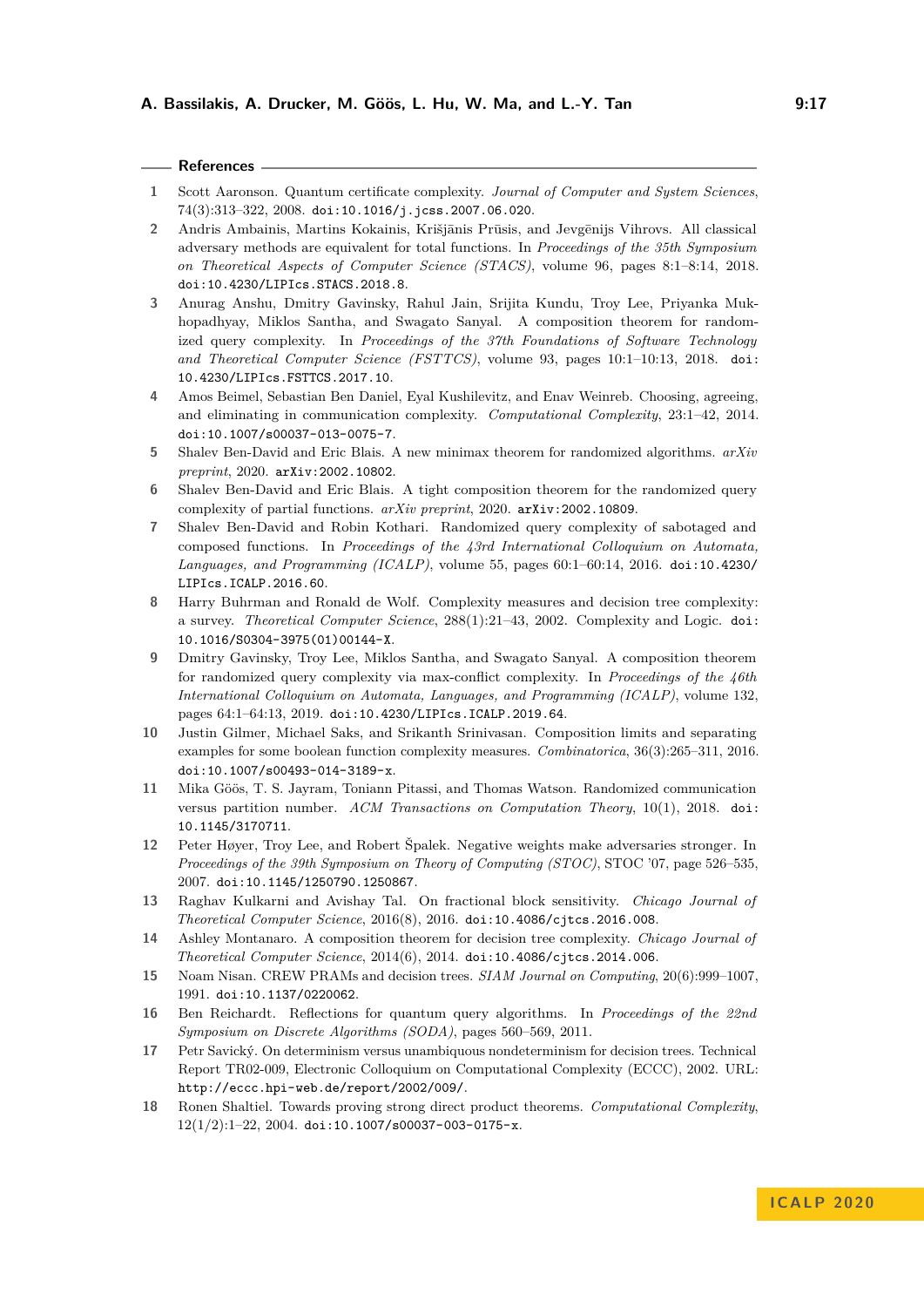#### **References**

- <span id="page-16-15"></span>**1** Scott Aaronson. Quantum certificate complexity. *Journal of Computer and System Sciences*, 74(3):313–322, 2008. [doi:10.1016/j.jcss.2007.06.020](https://doi.org/10.1016/j.jcss.2007.06.020).
- <span id="page-16-14"></span>2 Andris Ambainis, Martins Kokainis, Krišjānis Prūsis, and Jevgēnijs Vihrovs. All classical adversary methods are equivalent for total functions. In *Proceedings of the 35th Symposium on Theoretical Aspects of Computer Science (STACS)*, volume 96, pages 8:1–8:14, 2018. [doi:10.4230/LIPIcs.STACS.2018.8](https://doi.org/10.4230/LIPIcs.STACS.2018.8).
- <span id="page-16-6"></span>**3** Anurag Anshu, Dmitry Gavinsky, Rahul Jain, Srijita Kundu, Troy Lee, Priyanka Mukhopadhyay, Miklos Santha, and Swagato Sanyal. A composition theorem for randomized query complexity. In *Proceedings of the 37th Foundations of Software Technology and Theoretical Computer Science (FSTTCS)*, volume 93, pages 10:1–10:13, 2018. [doi:](https://doi.org/10.4230/LIPIcs.FSTTCS.2017.10) [10.4230/LIPIcs.FSTTCS.2017.10](https://doi.org/10.4230/LIPIcs.FSTTCS.2017.10).
- <span id="page-16-4"></span>**4** Amos Beimel, Sebastian Ben Daniel, Eyal Kushilevitz, and Enav Weinreb. Choosing, agreeing, and eliminating in communication complexity. *Computational Complexity*, 23:1–42, 2014. [doi:10.1007/s00037-013-0075-7](https://doi.org/10.1007/s00037-013-0075-7).
- <span id="page-16-0"></span>**5** Shalev Ben-David and Eric Blais. A new minimax theorem for randomized algorithms. *arXiv preprint*, 2020. [arXiv:2002.10802](http://arxiv.org/abs/2002.10802).
- <span id="page-16-1"></span>**6** Shalev Ben-David and Eric Blais. A tight composition theorem for the randomized query complexity of partial functions. *arXiv preprint*, 2020. [arXiv:2002.10809](http://arxiv.org/abs/2002.10809).
- <span id="page-16-5"></span>**7** Shalev Ben-David and Robin Kothari. Randomized query complexity of sabotaged and composed functions. In *Proceedings of the 43rd International Colloquium on Automata, Languages, and Programming (ICALP)*, volume 55, pages 60:1–60:14, 2016. [doi:10.4230/](https://doi.org/10.4230/LIPIcs.ICALP.2016.60) [LIPIcs.ICALP.2016.60](https://doi.org/10.4230/LIPIcs.ICALP.2016.60).
- <span id="page-16-2"></span>**8** Harry Buhrman and Ronald de Wolf. Complexity measures and decision tree complexity: a survey. *Theoretical Computer Science*, 288(1):21–43, 2002. Complexity and Logic. [doi:](https://doi.org/10.1016/S0304-3975(01)00144-X) [10.1016/S0304-3975\(01\)00144-X](https://doi.org/10.1016/S0304-3975(01)00144-X).
- <span id="page-16-7"></span>**9** Dmitry Gavinsky, Troy Lee, Miklos Santha, and Swagato Sanyal. A composition theorem for randomized query complexity via max-conflict complexity. In *Proceedings of the 46th International Colloquium on Automata, Languages, and Programming (ICALP)*, volume 132, pages 64:1–64:13, 2019. [doi:10.4230/LIPIcs.ICALP.2019.64](https://doi.org/10.4230/LIPIcs.ICALP.2019.64).
- <span id="page-16-12"></span>**10** Justin Gilmer, Michael Saks, and Srikanth Srinivasan. Composition limits and separating examples for some boolean function complexity measures. *Combinatorica*, 36(3):265–311, 2016. [doi:10.1007/s00493-014-3189-x](https://doi.org/10.1007/s00493-014-3189-x).
- <span id="page-16-17"></span>**11** Mika Göös, T. S. Jayram, Toniann Pitassi, and Thomas Watson. Randomized communication versus partition number. *ACM Transactions on Computation Theory*, 10(1), 2018. [doi:](https://doi.org/10.1145/3170711) [10.1145/3170711](https://doi.org/10.1145/3170711).
- <span id="page-16-10"></span>**12** Peter Høyer, Troy Lee, and Robert Špalek. Negative weights make adversaries stronger. In *Proceedings of the 39th Symposium on Theory of Computing (STOC)*, STOC '07, page 526–535, 2007. [doi:10.1145/1250790.1250867](https://doi.org/10.1145/1250790.1250867).
- <span id="page-16-13"></span>**13** Raghav Kulkarni and Avishay Tal. On fractional block sensitivity. *Chicago Journal of Theoretical Computer Science*, 2016(8), 2016. [doi:10.4086/cjtcs.2016.008](https://doi.org/10.4086/cjtcs.2016.008).
- <span id="page-16-9"></span>**14** Ashley Montanaro. A composition theorem for decision tree complexity. *Chicago Journal of Theoretical Computer Science*, 2014(6), 2014. [doi:10.4086/cjtcs.2014.006](https://doi.org/10.4086/cjtcs.2014.006).
- <span id="page-16-16"></span>**15** Noam Nisan. CREW PRAMs and decision trees. *SIAM Journal on Computing*, 20(6):999–1007, 1991. [doi:10.1137/0220062](https://doi.org/10.1137/0220062).
- <span id="page-16-11"></span>**16** Ben Reichardt. Reflections for quantum query algorithms. In *Proceedings of the 22nd Symposium on Discrete Algorithms (SODA)*, pages 560–569, 2011.
- <span id="page-16-8"></span>**17** Petr Savický. On determinism versus unambiquous nondeterminism for decision trees. Technical Report TR02-009, Electronic Colloquium on Computational Complexity (ECCC), 2002. URL: <http://eccc.hpi-web.de/report/2002/009/>.
- <span id="page-16-3"></span>**18** Ronen Shaltiel. Towards proving strong direct product theorems. *Computational Complexity*,  $12(1/2):1-22$ ,  $2004.$  [doi:10.1007/s00037-003-0175-x](https://doi.org/10.1007/s00037-003-0175-x).